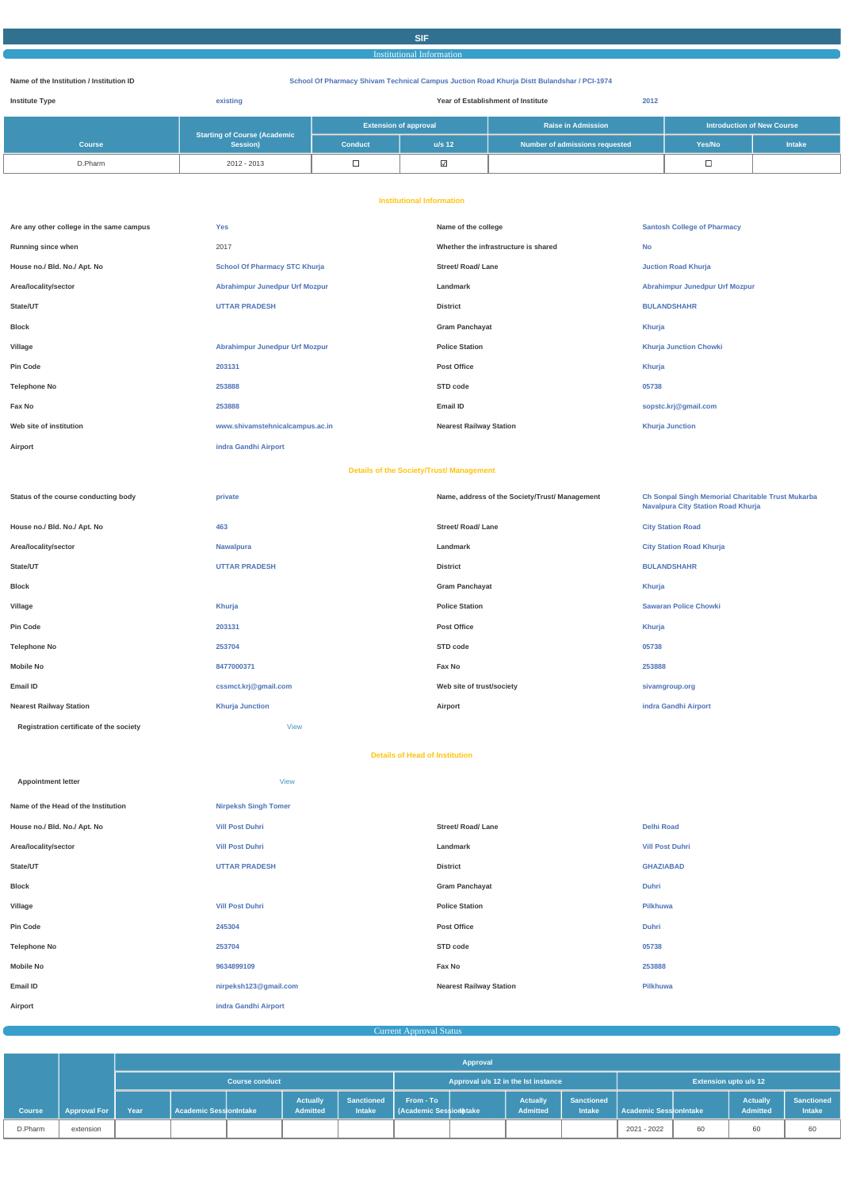# **SIF**

# Institutional Information

#### **Name of the Institution / Institution ID School Of Pharmacy Shivam Technical Campus Juction Road Khurja Distt Bulandshar / PCI-1974**

| <b>Institute Type</b> | existing                                 | Year of Establishment of Institute |                                                           |                                |                                   |               |
|-----------------------|------------------------------------------|------------------------------------|-----------------------------------------------------------|--------------------------------|-----------------------------------|---------------|
|                       |                                          |                                    | <b>Extension of approval</b><br><b>Raise in Admission</b> |                                | <b>Introduction of New Course</b> |               |
| <b>Course</b>         | Starting of Course (Academic<br>Session) | <b>Conduct</b>                     | $u/s$ 12                                                  | Number of admissions requested | Yes/No                            | <b>Intake</b> |
| D.Pharm               | 2012 - 2013                              |                                    | ⊻                                                         |                                |                                   |               |

#### **Institutional Information**

| Are any other college in the same campus | <b>Yes</b>                            | Name of the college                  | <b>Santosh College of Pharmacy</b> |
|------------------------------------------|---------------------------------------|--------------------------------------|------------------------------------|
| Running since when                       | 2017                                  | Whether the infrastructure is shared | <b>No</b>                          |
| House no./ Bld. No./ Apt. No             | <b>School Of Pharmacy STC Khurja</b>  | <b>Street/ Road/ Lane</b>            | <b>Juction Road Khurja</b>         |
| Area/locality/sector                     | <b>Abrahimpur Junedpur Urf Mozpur</b> | Landmark                             | Abrahimpur Junedpur Urf Mozpur     |
| State/UT                                 | <b>UTTAR PRADESH</b>                  | <b>District</b>                      | <b>BULANDSHAHR</b>                 |
| <b>Block</b>                             |                                       | <b>Gram Panchayat</b>                | Khurja                             |
| Village                                  | <b>Abrahimpur Junedpur Urf Mozpur</b> | <b>Police Station</b>                | <b>Khurja Junction Chowki</b>      |
| <b>Pin Code</b>                          | 203131                                | <b>Post Office</b>                   | Khurja                             |
| <b>Telephone No</b>                      | 253888                                | STD code                             | 05738                              |
| Fax No                                   | 253888                                | Email ID                             | sopstc.krj@gmail.com               |
| Web site of institution                  | www.shivamstehnicalcampus.ac.in       | <b>Nearest Railway Station</b>       | <b>Khurja Junction</b>             |
| Airport                                  | indra Gandhi Airport                  |                                      |                                    |

#### **Details of the Society/Trust/ Management**

| Status of the course conducting body    | private                | Name, address of the Society/Trust/ Management | <b>Ch Sonpal Singh Memorial Charitable Trust Mukarba</b><br><b>Navalpura City Station Road Khurja</b> |
|-----------------------------------------|------------------------|------------------------------------------------|-------------------------------------------------------------------------------------------------------|
| House no./ Bld. No./ Apt. No            | 463                    | <b>Street/ Road/ Lane</b>                      | <b>City Station Road</b>                                                                              |
| Area/locality/sector                    | <b>Nawalpura</b>       | Landmark                                       | <b>City Station Road Khurja</b>                                                                       |
| State/UT                                | <b>UTTAR PRADESH</b>   | <b>District</b>                                | <b>BULANDSHAHR</b>                                                                                    |
| Block                                   |                        | <b>Gram Panchayat</b>                          | Khurja                                                                                                |
| Village                                 | Khurja                 | <b>Police Station</b>                          | <b>Sawaran Police Chowki</b>                                                                          |
| Pin Code                                | 203131                 | <b>Post Office</b>                             | Khurja                                                                                                |
| <b>Telephone No</b>                     | 253704                 | STD code                                       | 05738                                                                                                 |
| Mobile No                               | 8477000371             | Fax No                                         | 253888                                                                                                |
| Email ID                                | cssmct.krj@gmail.com   | Web site of trust/society                      | sivamgroup.org                                                                                        |
| <b>Nearest Railway Station</b>          | <b>Khurja Junction</b> | Airport                                        | indra Gandhi Airport                                                                                  |
| Registration certificate of the society | <b>View</b>            |                                                |                                                                                                       |

#### **Details of Head of Institution**

| Name of the Head of the Institution | <b>Nirpeksh Singh Tomer</b> |                           |                        |
|-------------------------------------|-----------------------------|---------------------------|------------------------|
| House no./ Bld. No./ Apt. No        | <b>Vill Post Duhri</b>      | <b>Street/ Road/ Lane</b> | <b>Delhi Road</b>      |
| Area/locality/sector                | <b>Vill Post Duhri</b>      | Landmark                  | <b>Vill Post Duhri</b> |
| State/UT                            | <b>UTTAR PRADESH</b>        | <b>District</b>           | <b>GHAZIABAD</b>       |
| <b>Block</b>                        |                             | <b>Gram Panchayat</b>     | <b>Duhri</b>           |

**Appointment letter** [View](https://www.dgpm.nic.in/institute/getmongoPdfFile.do?renreceiptid=1bb44f68-18ff-4dda-8cdb-34ec9c90615a&tablename=headofinst)

| Village             | <b>Vill Post Duhri</b> | <b>Police Station</b>          | Pilkhuwa     |
|---------------------|------------------------|--------------------------------|--------------|
| <b>Pin Code</b>     | 245304                 | Post Office                    | <b>Duhri</b> |
| <b>Telephone No</b> | 253704                 | STD code                       | 05738        |
| <b>Mobile No</b>    | 9634899109             | Fax No                         | 253888       |
| Email ID            | nirpeksh123@gmail.com  | <b>Nearest Railway Station</b> | Pilkhuwa     |
| Airport             | indra Gandhi Airport   |                                |              |

**Current Approval Status** 

|               |                     |                       | Approval                      |  |                                     |                             |                                            |                              |                                    |                             |                        |    |                             |                                    |
|---------------|---------------------|-----------------------|-------------------------------|--|-------------------------------------|-----------------------------|--------------------------------------------|------------------------------|------------------------------------|-----------------------------|------------------------|----|-----------------------------|------------------------------------|
|               |                     | <b>Course conduct</b> |                               |  | Approval u/s 12 in the lst instance |                             |                                            | <b>Extension upto u/s 12</b> |                                    |                             |                        |    |                             |                                    |
| <b>Course</b> | <b>Approval For</b> | Year                  | <b>Academic SessionIntake</b> |  | <b>Actually</b><br><b>Admitted</b>  | <b>Sanctioned</b><br>Intake | From - To<br><b>Academic Session htake</b> |                              | <b>Actually</b><br><b>Admitted</b> | Sanctioned<br><b>Intake</b> | Academic SessionIntake |    | Actually<br><b>Admitted</b> | <b>Sanctioned</b><br><b>Intake</b> |
| D.Pharm       | extension           |                       |                               |  |                                     |                             |                                            |                              |                                    |                             | 2021 - 2022            | 60 | 60                          | 60                                 |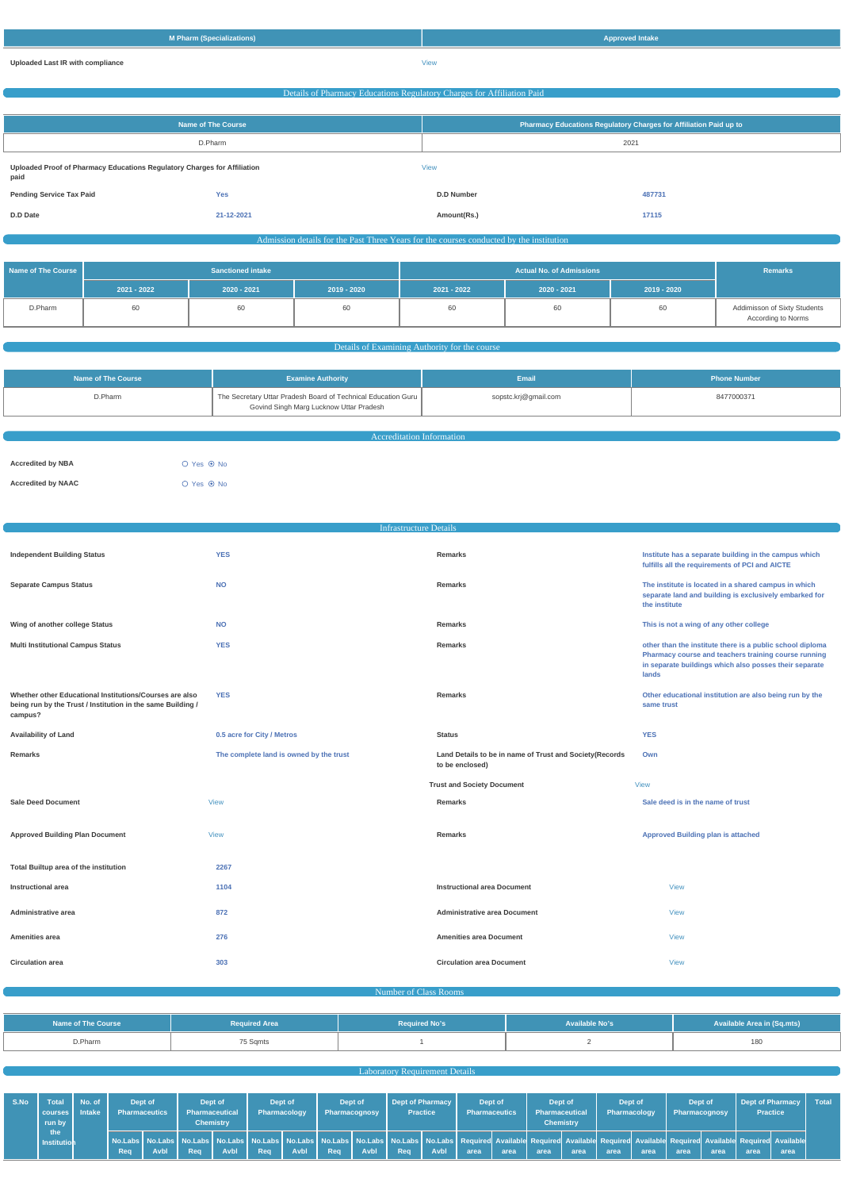| <b>M Pharm (Specializations)</b> | <b>Approved Intake</b> |
|----------------------------------|------------------------|
| Uploaded Last IR with compliance | View                   |

# Details of Pharmacy Educations Regulatory Charges for Affiliation Paid

| Name of The Course                                                               |            | Pharmacy Educations Regulatory Charges for Affiliation Paid up to |        |  |
|----------------------------------------------------------------------------------|------------|-------------------------------------------------------------------|--------|--|
| D.Pharm                                                                          |            | 2021                                                              |        |  |
| Uploaded Proof of Pharmacy Educations Regulatory Charges for Affiliation<br>paid |            | <b>View</b>                                                       |        |  |
| <b>Pending Service Tax Paid</b>                                                  | <b>Yes</b> | <b>D.D Number</b>                                                 | 487731 |  |
| D.D Date                                                                         | 21-12-2021 | Amount(Rs.)                                                       | 17115  |  |

#### Admission details for the Past Three Years for the courses conducted by the institution

| Name of The Course | <b>Sanctioned intake</b> |             |               |             | <b>Remarks</b> |             |                                                    |
|--------------------|--------------------------|-------------|---------------|-------------|----------------|-------------|----------------------------------------------------|
|                    | 2021 - 2022              | 2020 - 2021 | $2019 - 2020$ | 2021 - 2022 | $2020 - 2021$  | 2019 - 2020 |                                                    |
| D.Pharm            | 60                       |             | 60            | 60          | 60             | 60          | Addimisson of Sixty Students<br>According to Norms |

#### Details of Examining Authority for the course

| Name of The Course | <b>Examine Authority</b>                                                                                 | <b>Email</b>         | <b>Phone Number</b> |
|--------------------|----------------------------------------------------------------------------------------------------------|----------------------|---------------------|
| D.Pharm            | The Secretary Uttar Pradesh Board of Technical Education Guru<br>Govind Singh Marg Lucknow Uttar Pradesh | sopstc.krj@gmail.com | 8477000371          |
|                    |                                                                                                          |                      |                     |

| Accreditation Information |            |  |  |  |
|---------------------------|------------|--|--|--|
|                           |            |  |  |  |
| <b>Accredited by NBA</b>  | ○ Yes ◉ No |  |  |  |
| <b>Accredited by NAAC</b> | ○ Yes ◉ No |  |  |  |

Infrastructure Details

| <b>Independent Building Status</b>                                                                                                | <b>YES</b>                              | Remarks                                                                    | Institute has a separate building in the campus which<br>fulfills all the requirements of PCI and AICTE                                                                              |
|-----------------------------------------------------------------------------------------------------------------------------------|-----------------------------------------|----------------------------------------------------------------------------|--------------------------------------------------------------------------------------------------------------------------------------------------------------------------------------|
| <b>Separate Campus Status</b>                                                                                                     | <b>NO</b>                               | <b>Remarks</b>                                                             | The institute is located in a shared campus in which<br>separate land and building is exclusively embarked for<br>the institute                                                      |
| Wing of another college Status                                                                                                    | <b>NO</b>                               | <b>Remarks</b>                                                             | This is not a wing of any other college                                                                                                                                              |
| <b>Multi Institutional Campus Status</b>                                                                                          | <b>YES</b>                              | <b>Remarks</b>                                                             | other than the institute there is a public school diploma<br>Pharmacy course and teachers training course running<br>in separate buildings which also posses their separate<br>lands |
| Whether other Educational Institutions/Courses are also<br>being run by the Trust / Institution in the same Building /<br>campus? | <b>YES</b>                              | <b>Remarks</b>                                                             | Other educational institution are also being run by the<br>same trust                                                                                                                |
| <b>Availability of Land</b>                                                                                                       | 0.5 acre for City / Metros              | <b>Status</b>                                                              | <b>YES</b>                                                                                                                                                                           |
| Remarks                                                                                                                           | The complete land is owned by the trust | Land Details to be in name of Trust and Society(Records<br>to be enclosed) | Own                                                                                                                                                                                  |
|                                                                                                                                   |                                         | <b>Trust and Society Document</b>                                          | <b>View</b>                                                                                                                                                                          |
| <b>Sale Deed Document</b>                                                                                                         | <b>View</b>                             | <b>Remarks</b>                                                             | Sale deed is in the name of trust                                                                                                                                                    |
| <b>Approved Building Plan Document</b>                                                                                            | <b>View</b>                             | <b>Remarks</b>                                                             | <b>Approved Building plan is attached</b>                                                                                                                                            |
| Total Builtup area of the institution                                                                                             | 2267                                    |                                                                            |                                                                                                                                                                                      |
|                                                                                                                                   |                                         |                                                                            |                                                                                                                                                                                      |

| Administrative area     | 872 | <b>Administrative area Document</b> | <b>View</b> |
|-------------------------|-----|-------------------------------------|-------------|
| Amenities area          | 276 | <b>Amenities area Document</b>      | <b>View</b> |
| <b>Circulation area</b> | 303 | <b>Circulation area Document</b>    | <b>View</b> |

Number of Class Rooms and Class Rooms and Class Rooms and Class Rooms and Class Rooms and Class Rooms and Class Rooms and Class Rooms and Class Rooms and Class Rooms and Class Rooms and Class Rooms and Class Rooms and Clas

| <b>Name of The Course</b> | <b>Required Area</b> | <b>Required No's</b> | <b>Available No's</b> | <b>Available Area in (Sq.mts)</b> |
|---------------------------|----------------------|----------------------|-----------------------|-----------------------------------|
| D.Pharm                   | 75 Sqmts             |                      |                       | 180                               |

# **Laboratory Requirement Details Laboratory Requirement Details**

| S.No | Total<br>l courses I Intake l<br>run by | $\blacksquare$ No. of $\blacksquare$ | <b>Pharmaceutics</b> | Dept of      |            | Dept of<br><b>Pharmaceutical</b><br><b>Chemistry</b> |     | Dept of<br>Pharmacology |     | Dept of<br>Pharmacognosy | <b>Practice</b> | Dept of Pharmacy | <b>Pharmaceutics</b>                                                                                                                                                                                                                  | Dept of | Pharmaceutical | Dept of<br><b>Chemistry</b> | Dept of<br>Pharmacology |              | Dept of<br>Pharmacognosy |      | Dept of Pharmacy<br><b>Practice</b> |      | Total |
|------|-----------------------------------------|--------------------------------------|----------------------|--------------|------------|------------------------------------------------------|-----|-------------------------|-----|--------------------------|-----------------|------------------|---------------------------------------------------------------------------------------------------------------------------------------------------------------------------------------------------------------------------------------|---------|----------------|-----------------------------|-------------------------|--------------|--------------------------|------|-------------------------------------|------|-------|
|      | the<br>Institution                      |                                      | Req                  | <b>Avbl.</b> | <b>Rea</b> | <b>Avbl</b>                                          | Rea | Avbl                    | Rea | <b>Avbl</b>              | Req             | Avbl             | No.Labs No.Labs No.Labs No.Labs No.Labs No.Labs No.Labs No.Labs No.Labs No.Labs Required Available Required Available Required Available Required Available Required Available Required Available Required Available Required<br>area | area    | area           | area                        | area                    | <b>karea</b> | area                     | area | area                                | area |       |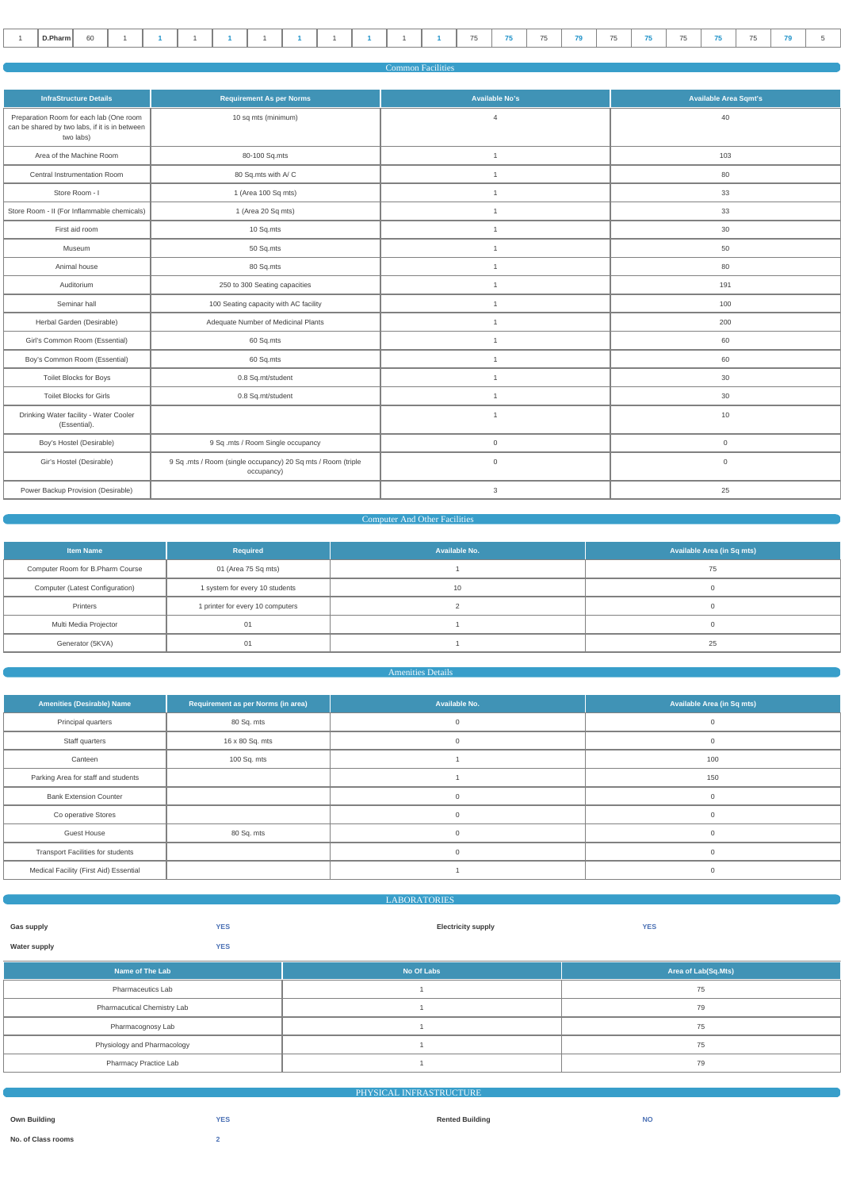| D.Pharm<br>$ -$<br>$- -$<br>$- -$<br>60 |  |  |  |  |  |  |  |  |  |  |  |  |  |  |  |  |  |  |  |  |  |  |  |  |  |
|-----------------------------------------|--|--|--|--|--|--|--|--|--|--|--|--|--|--|--|--|--|--|--|--|--|--|--|--|--|
|-----------------------------------------|--|--|--|--|--|--|--|--|--|--|--|--|--|--|--|--|--|--|--|--|--|--|--|--|--|

| <b>Common Facilities</b> |  |
|--------------------------|--|
|                          |  |
|                          |  |

| <b>InfraStructure Details</b>                                                                          | <b>Requirement As per Norms</b>                                            | <b>Available No's</b> | <b>Available Area Sqmt's</b> |
|--------------------------------------------------------------------------------------------------------|----------------------------------------------------------------------------|-----------------------|------------------------------|
| Preparation Room for each lab (One room<br>can be shared by two labs, if it is in between<br>two labs) | 10 sq mts (minimum)                                                        | $\overline{4}$        | 40                           |
| Area of the Machine Room                                                                               | 80-100 Sq.mts                                                              | $\overline{1}$        | 103                          |
| Central Instrumentation Room                                                                           | 80 Sq.mts with A/C                                                         | $\overline{1}$        | 80                           |
| Store Room - I                                                                                         | 1 (Area 100 Sq mts)                                                        | $\mathbf{1}$          | 33                           |
| Store Room - II (For Inflammable chemicals)                                                            | 1 (Area 20 Sq mts)                                                         | $\overline{1}$        | 33                           |
| First aid room                                                                                         | 10 Sq.mts                                                                  | $\mathbf{1}$          | 30                           |
| Museum                                                                                                 | 50 Sq.mts                                                                  | $\overline{1}$        | 50                           |
| Animal house                                                                                           | 80 Sq.mts                                                                  | $\overline{1}$        | 80                           |
| Auditorium                                                                                             | 250 to 300 Seating capacities                                              | $\overline{1}$        | 191                          |
| Seminar hall                                                                                           | 100 Seating capacity with AC facility                                      | $\overline{1}$        | 100                          |
| Herbal Garden (Desirable)                                                                              | Adequate Number of Medicinal Plants                                        | $\overline{1}$        | 200                          |
| Girl's Common Room (Essential)                                                                         | 60 Sq.mts                                                                  | $\overline{1}$        | 60                           |
| Boy's Common Room (Essential)                                                                          | 60 Sq.mts                                                                  | $\mathbf{1}$          | 60                           |
| Toilet Blocks for Boys                                                                                 | 0.8 Sq.mt/student                                                          | $\mathbf{1}$          | 30                           |
| <b>Toilet Blocks for Girls</b>                                                                         | 0.8 Sq.mt/student                                                          | $\overline{1}$        | 30                           |
| Drinking Water facility - Water Cooler<br>(Essential).                                                 |                                                                            | $\overline{1}$        | 10                           |
| Boy's Hostel (Desirable)                                                                               | 9 Sq .mts / Room Single occupancy                                          | $\overline{0}$        | $\mathbf 0$                  |
| Gir's Hostel (Desirable)                                                                               | 9 Sq .mts / Room (single occupancy) 20 Sq mts / Room (triple<br>occupancy) | $\overline{0}$        | $\overline{0}$               |
| Power Backup Provision (Desirable)                                                                     |                                                                            | $\mathbf{3}$          | 25                           |

# **Computer And Other Facilities**

| <b>Item Name</b>                 | Required                         | Available No. | <b>Available Area (in Sq mts)</b> |
|----------------------------------|----------------------------------|---------------|-----------------------------------|
| Computer Room for B.Pharm Course | 01 (Area 75 Sq mts)              |               | 75                                |
| Computer (Latest Configuration)  | 1 system for every 10 students   | 10            |                                   |
| Printers                         | 1 printer for every 10 computers |               |                                   |
| Multi Media Projector            | 01                               |               |                                   |
| Generator (5KVA)                 | 01                               |               | 25                                |

# **Amenities Details**

| <b>Amenities (Desirable) Name</b>        | Requirement as per Norms (in area) | Available No. | <b>Available Area (in Sq mts)</b> |
|------------------------------------------|------------------------------------|---------------|-----------------------------------|
| Principal quarters                       | 80 Sq. mts                         | 0             | $\Omega$                          |
| Staff quarters                           | 16 x 80 Sq. mts                    | $\mathbf{0}$  | $\mathbf{0}$                      |
| Canteen                                  | 100 Sq. mts                        |               | 100                               |
| Parking Area for staff and students      |                                    |               | 150                               |
| <b>Bank Extension Counter</b>            |                                    | $\Omega$      | $\Omega$                          |
| Co operative Stores                      |                                    | $\Omega$      | $\Omega$                          |
| <b>Guest House</b>                       | 80 Sq. mts                         | $\Omega$      | $\Omega$                          |
| <b>Transport Facilities for students</b> |                                    | $\Omega$      | $\mathbf{0}$                      |
| Medical Facility (First Aid) Essential   |                                    |               | $\Omega$                          |
|                                          |                                    |               |                                   |

|                     | <b>ABORATORIES</b> |                           |            |
|---------------------|--------------------|---------------------------|------------|
|                     |                    |                           |            |
| Gas supply          | <b>YES</b>         | <b>Electricity supply</b> | <b>YES</b> |
| <b>Water supply</b> | <b>YES</b>         |                           |            |

| Name of The Lab                    | No Of Labs | Area of Lab(Sq.Mts) |
|------------------------------------|------------|---------------------|
| <b>Pharmaceutics Lab</b>           |            | 75                  |
| <b>Pharmacutical Chemistry Lab</b> |            | 79                  |
| Pharmacognosy Lab                  |            | 75                  |
| Physiology and Pharmacology        |            | 75                  |
| Pharmacy Practice Lab              |            | 79                  |

|                     |            | PHYSICAL INFRASTRUCTURE |           |
|---------------------|------------|-------------------------|-----------|
|                     |            |                         |           |
| <b>Own Building</b> | <b>YES</b> | <b>Rented Building</b>  | <b>NO</b> |
| No. of Class rooms  |            |                         |           |
|                     |            |                         |           |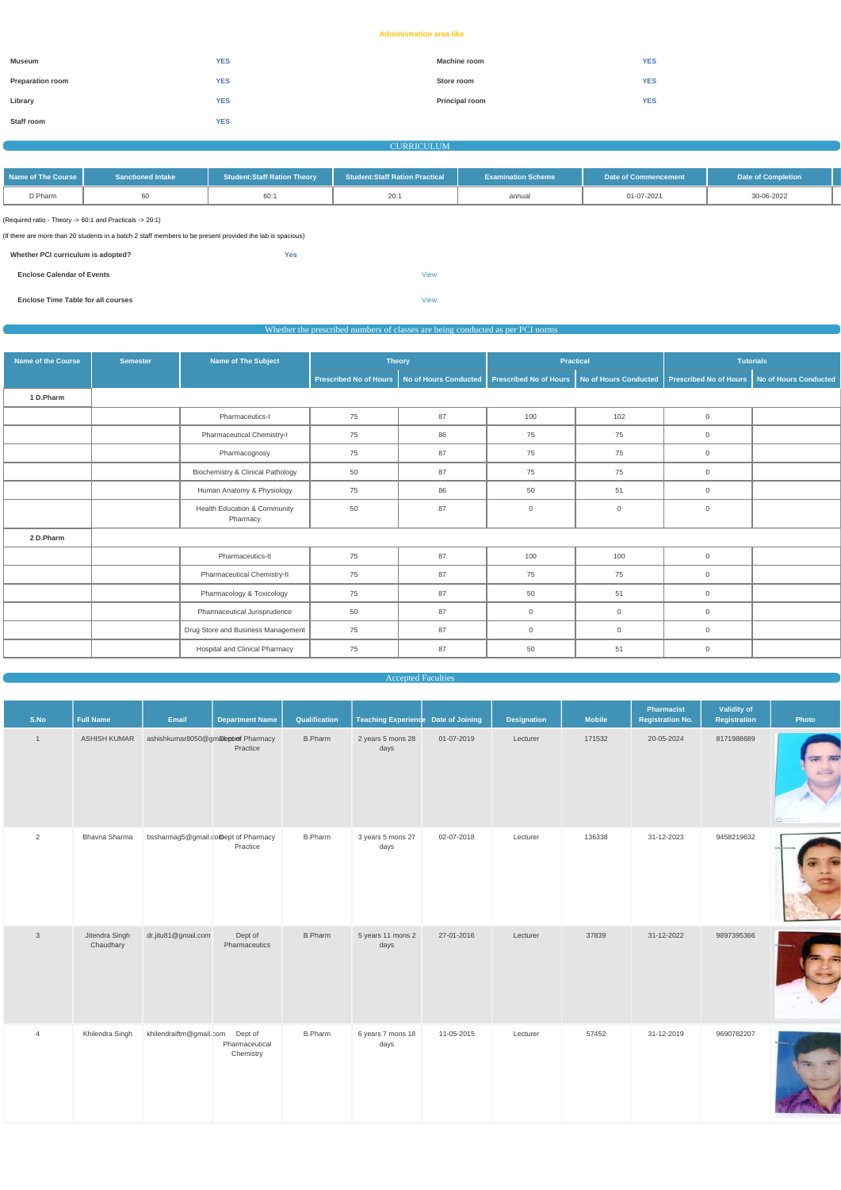#### **Administration area like**

| Museum                  | <b>YES</b> | <b>Machine room</b>   | <b>YES</b> |
|-------------------------|------------|-----------------------|------------|
| <b>Preparation room</b> | <b>YES</b> | Store room            | <b>YES</b> |
| Library                 | <b>YES</b> | <b>Principal room</b> | <b>YES</b> |
| Staff room              | <b>YES</b> |                       |            |

#### CURRICULUM

| ┃ Name of The Course l | <b>Sanctioned Intake</b> | <b>Student:Staff Ration Theory</b> | <b>Student:Staff Ration Practical</b> | <b>Examination Scheme</b> | Date of Commencement | Date of Completion |
|------------------------|--------------------------|------------------------------------|---------------------------------------|---------------------------|----------------------|--------------------|
| D.Pharm                |                          |                                    |                                       | annual                    | 01-07-2021           | 30-06-2022         |

(Required ratio - Theory -> 60:1 and Practicals -> 20:1)

| (If there are more than 20 students in a batch 2 staff members to be present provided the lab is spacious) |  |
|------------------------------------------------------------------------------------------------------------|--|
|                                                                                                            |  |

| Whether PCI curriculum is adopted?        | <b>Yes</b> |             |
|-------------------------------------------|------------|-------------|
| <b>Enclose Calendar of Events</b>         |            | <b>View</b> |
| <b>Enclose Time Table for all courses</b> |            | <b>View</b> |

Whether the prescribed numbers of classes are being conducted as per PCI norms

| <b>Name of the Course</b> | <b>Semester</b> | <b>Name of The Subject</b>               |                               | <b>Theory</b>         |                               | <b>Practical</b>             |                               | <b>Tutorials</b>             |
|---------------------------|-----------------|------------------------------------------|-------------------------------|-----------------------|-------------------------------|------------------------------|-------------------------------|------------------------------|
|                           |                 |                                          | <b>Prescribed No of Hours</b> | No of Hours Conducted | <b>Prescribed No of Hours</b> | <b>No of Hours Conducted</b> | <b>Prescribed No of Hours</b> | <b>No of Hours Conducted</b> |
| 1 D.Pharm                 |                 |                                          |                               |                       |                               |                              |                               |                              |
|                           |                 | Pharmaceutics-I                          | 75                            | 87                    | 100                           | 102                          | $\overline{0}$                |                              |
|                           |                 | Pharmaceutical Chemistry-I               | 75                            | 86                    | 75                            | 75                           | $\overline{0}$                |                              |
|                           |                 | Pharmacognosy                            | 75                            | 87                    | 75                            | 75                           | $\overline{0}$                |                              |
|                           |                 | Biochemistry & Clinical Pathology        | 50                            | 87                    | 75                            | 75                           | $\overline{0}$                |                              |
|                           |                 | Human Anatomy & Physiology               | 75                            | 86                    | 50                            | 51                           | $\overline{0}$                |                              |
|                           |                 | Health Education & Community<br>Pharmacy | 50                            | 87                    | $\mathsf 0$                   | $\mathbf 0$                  | $\overline{0}$                |                              |
| 2 D.Pharm                 |                 |                                          |                               |                       |                               |                              |                               |                              |
|                           |                 | Pharmaceutics-II                         | 75                            | 87                    | 100                           | 100                          | $\overline{0}$                |                              |
|                           |                 | Pharmaceutical Chemistry-II              | 75                            | 87                    | 75                            | 75                           | $\overline{0}$                |                              |
|                           |                 | Pharmacology & Toxicology                | 75                            | 87                    | 50                            | 51                           | $\overline{0}$                |                              |
|                           |                 | Pharmaceutical Jurisprudence             | 50                            | 87                    | $\overline{0}$                | $\mathbf 0$                  | $\overline{0}$                |                              |
|                           |                 | Drug Store and Business Management       | 75                            | 87                    | $\overline{0}$                | $\overline{0}$               | $\overline{0}$                |                              |
|                           |                 | Hospital and Clinical Pharmacy           | 75                            | 87                    | 50                            | 51                           | $\overline{0}$                |                              |

Accepted Faculties

| S.No           | <b>Full Name</b> | Email                                | <b>Department Name</b> | Qualification  | Teaching Experience Date of Joining |            | <b>Designation</b> | <b>Mobile</b> | Pharmacist<br><b>Registration No.</b> | Validity of<br>Registration | Photo                                            |
|----------------|------------------|--------------------------------------|------------------------|----------------|-------------------------------------|------------|--------------------|---------------|---------------------------------------|-----------------------------|--------------------------------------------------|
|                | ASHISH KUMAR     | ashishkumar8050@gmaleptorof Pharmacy | Practice               | <b>B.Pharm</b> | 2 years 5 mons 28<br>days           | 01-07-2019 | Lecturer           | 171532        | 20-05-2024                            | 8171988689                  | $\overline{a}$ $\overline{b}$<br>CS Stanned with |
| $\overline{2}$ | Bhavna Sharma    | bssharmag5@gmail.comept of Pharmacy  | Practice               | <b>B.Pharm</b> | 3 years 5 mons 27<br>days           | 02-07-2018 | Lecturer           | 136338        | 31-12-2023                            | 9458219632                  | <b>ALC: UNK</b>                                  |

| $\mathsf 3$    | Jitendra Singh<br>Chaudhary | dr.jitu81@gmail.com     | Dept of<br>Pharmaceutics               | <b>B.Pharm</b> | 5 years 11 mons 2<br>days | 27-01-2016 | Lecturer | 37839 | 31-12-2022 | 9897395366 |  |
|----------------|-----------------------------|-------------------------|----------------------------------------|----------------|---------------------------|------------|----------|-------|------------|------------|--|
| $\overline{4}$ | Khilendra Singh             | khilendraiftm@gmail.com | Dept of<br>Pharmaceutical<br>Chemistry | <b>B.Pharm</b> | 6 years 7 mons 18<br>days | 11-05-2015 | Lecturer | 57452 | 31-12-2019 | 9690782207 |  |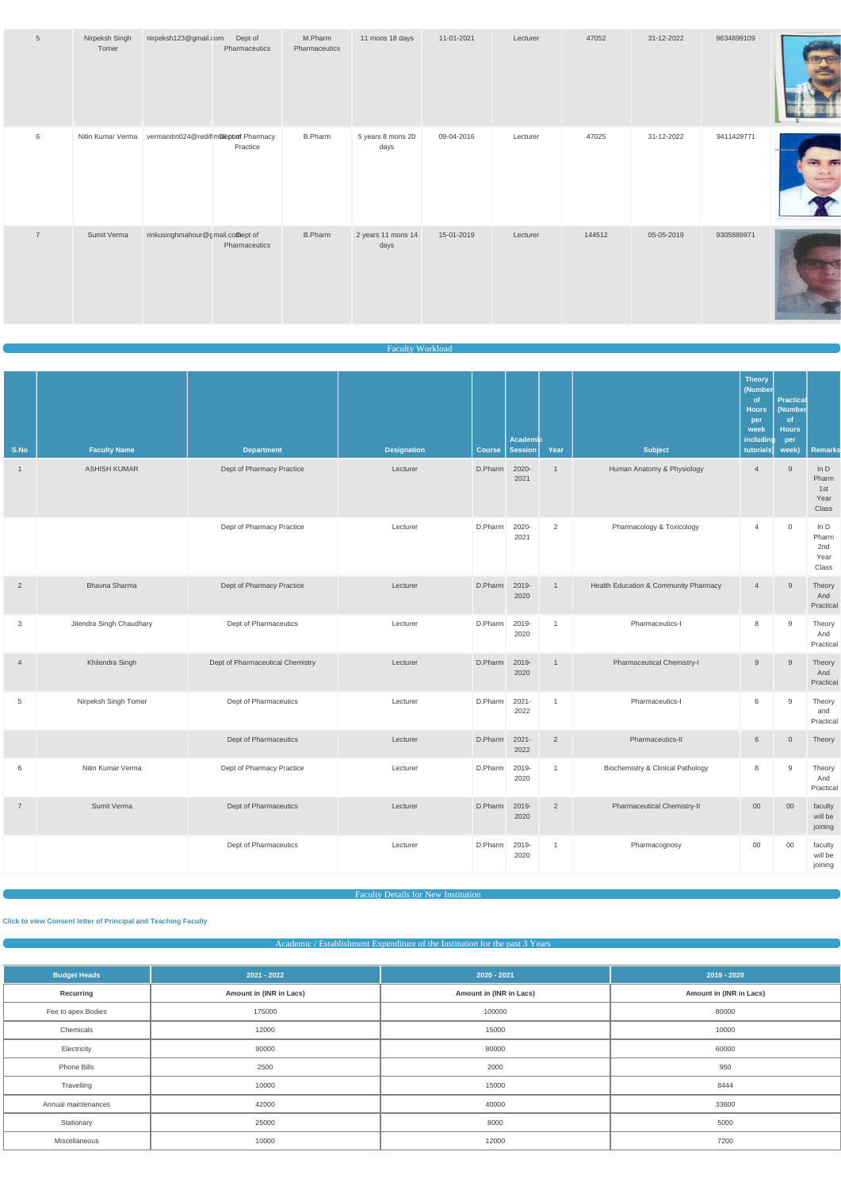| $5\phantom{.0}$ | Nirpeksh Singh<br>Tomer | nirpeksh123@gmail.com                                    | Dept of<br>Pharmaceutics | M.Pharm<br>Pharmaceutics | 11 mons 18 days            | 11-01-2021 | Lecturer | 47052  | 31-12-2022 | 9634899109 |  |
|-----------------|-------------------------|----------------------------------------------------------|--------------------------|--------------------------|----------------------------|------------|----------|--------|------------|------------|--|
| 6               |                         | Nitin Kumar Verma vermanitin024@rediffmaileptor Pharmacy | Practice                 | <b>B.Pharm</b>           | 5 years 8 mons 20<br>days  | 09-04-2016 | Lecturer | 47025  | 31-12-2022 | 9411429771 |  |
| $\overline{7}$  | Sumit Verma             | rinkusinghmahour@gmail.comept of                         | Pharmaceutics            | <b>B.Pharm</b>           | 2 years 11 mons 14<br>days | 15-01-2019 | Lecturer | 144512 | 05-05-2019 | 9305889971 |  |

Faculty Workload

| S.No           | <b>Faculty Name</b>      | <b>Department</b>                | <b>Designation</b> | <b>Course</b> | Academic<br>Session | Year           | <b>Subject</b>                               | Theory<br>(Number<br>of<br><b>Hours</b><br>per<br>week<br>includino<br>tutorials) | <b>Practical</b><br>(Number<br>of<br><b>Hours</b><br>per<br>week) | <b>Remarks</b>                          |
|----------------|--------------------------|----------------------------------|--------------------|---------------|---------------------|----------------|----------------------------------------------|-----------------------------------------------------------------------------------|-------------------------------------------------------------------|-----------------------------------------|
| $\mathbf{1}$   | <b>ASHISH KUMAR</b>      | Dept of Pharmacy Practice        | Lecturer           | D.Pharm       | 2020-<br>2021       | $\overline{1}$ | Human Anatomy & Physiology                   | $\overline{4}$                                                                    | 9                                                                 | In $D$<br>Pharm<br>1st<br>Year<br>Class |
|                |                          | Dept of Pharmacy Practice        | Lecturer           | D.Pharm       | 2020-<br>2021       | $\overline{2}$ | Pharmacology & Toxicology                    | $\overline{4}$                                                                    | $\mathsf{O}\xspace$                                               | In $D$<br>Pharm<br>2nd<br>Year<br>Class |
| $\overline{2}$ | Bhavna Sharma            | Dept of Pharmacy Practice        | Lecturer           | D.Pharm       | 2019-<br>2020       | $\overline{1}$ | Health Education & Community Pharmacy        | $\overline{4}$                                                                    | 9                                                                 | Theory<br>And<br>Practical              |
| 3              | Jitendra Singh Chaudhary | Dept of Pharmaceutics            | Lecturer           | D.Pharm       | 2019-<br>2020       | $\overline{1}$ | Pharmaceutics-I                              | 8                                                                                 | 9                                                                 | Theory<br>And<br>Practical              |
| $\overline{4}$ | Khilendra Singh          | Dept of Pharmaceutical Chemistry | Lecturer           | D.Pharm       | 2019-<br>2020       | $\overline{1}$ | Pharmaceutical Chemistry-I                   | 9                                                                                 | 9                                                                 | Theory<br>And<br>Practical              |
| 5              | Nirpeksh Singh Tomer     | Dept of Pharmaceutics            | Lecturer           | D.Pharm       | 2021-<br>2022       | $\overline{1}$ | Pharmaceutics-I                              | 6                                                                                 | 9                                                                 | Theory<br>and<br>Practical              |
|                |                          | Dept of Pharmaceutics            | Lecturer           | D.Pharm       | $2021 -$<br>2022    | $\overline{2}$ | Pharmaceutics-II                             | 6                                                                                 | $\mathsf{O}\xspace$                                               | Theory                                  |
| 6              | Nitin Kumar Verma        | Dept of Pharmacy Practice        | Lecturer           | D.Pharm       | 2019-<br>2020       | $\overline{1}$ | <b>Biochemistry &amp; Clinical Pathology</b> | 8                                                                                 | 9                                                                 | Theory<br>And<br>Practical              |
| $\overline{7}$ | Sumit Verma              | Dept of Pharmaceutics            | Lecturer           | D.Pharm       | 2019-<br>2020       | 2              | Pharmaceutical Chemistry-II                  | $00\,$                                                                            | $00\,$                                                            | faculty<br>will be                      |

joining

2020

Dept of Pharmaceutics **Lecturer** Lecturer **D.Pharm** 2019-

will be joining

1 Pharmacognosy 00 00 faculty

# Academic / Establishment Expenditure of the Institution for the past 3 Years

| <b>Budget Heads</b> | $2021 - 2022$           | 2020 - 2021             | $2019 - 2020$           |  |  |
|---------------------|-------------------------|-------------------------|-------------------------|--|--|
| Recurring           | Amount in (INR in Lacs) | Amount in (INR in Lacs) | Amount in (INR in Lacs) |  |  |
| Fee to apex Bodies  | 175000                  | 100000                  | 80000                   |  |  |
| Chemicals           | 12000                   | 15000                   | 10000                   |  |  |
| Electricity         | 90000                   | 80000                   | 60000                   |  |  |
| Phone Bills         | 2500                    | 2000                    | 950                     |  |  |
| Travelling          | 10000                   | 15000                   | 8444                    |  |  |
| Annual maintenances | 42000                   | 40000                   | 33600                   |  |  |
| Stationary          | 25000                   | 8000                    | 5000                    |  |  |
| Miscellaneous       | 10000                   | 12000                   | 7200                    |  |  |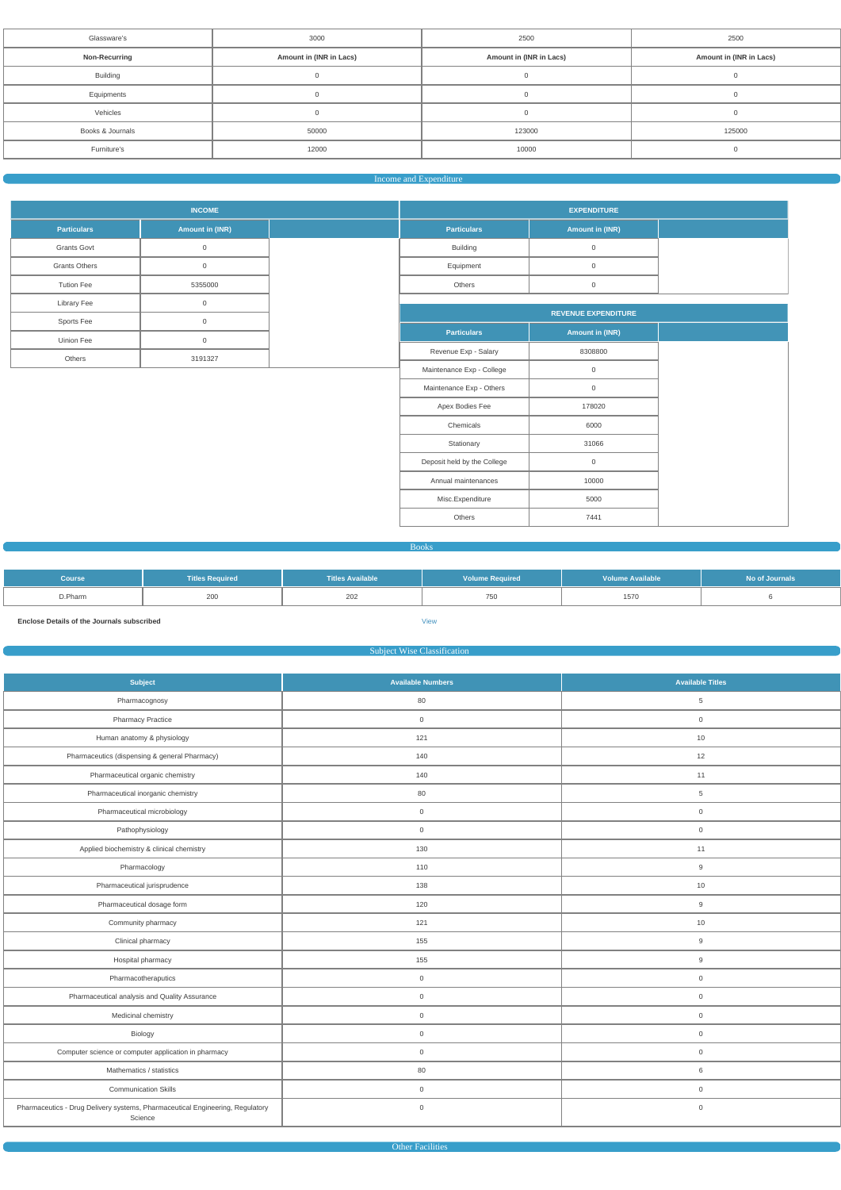| Glassware's               | 3000                    | 2500                    | 2500                    |  |  |
|---------------------------|-------------------------|-------------------------|-------------------------|--|--|
| <b>Non-Recurring</b>      | Amount in (INR in Lacs) | Amount in (INR in Lacs) | Amount in (INR in Lacs) |  |  |
| <b>Building</b>           |                         |                         |                         |  |  |
| Equipments                | 0                       |                         |                         |  |  |
| Vehicles                  |                         |                         | $\cup$                  |  |  |
| Books & Journals<br>50000 |                         | 123000                  | 125000                  |  |  |
| Furniture's               | 12000                   | 10000                   |                         |  |  |
|                           |                         |                         |                         |  |  |

#### Income and Expenditure

|                      | <b>INCOME</b>   | <b>EXPENDITURE</b>          |                        |  |  |  |  |
|----------------------|-----------------|-----------------------------|------------------------|--|--|--|--|
| <b>Particulars</b>   | Amount in (INR) | <b>Particulars</b>          | Amount in (INR)        |  |  |  |  |
| <b>Grants Govt</b>   | $\mathbb O$     | Building                    | $\mathbf 0$            |  |  |  |  |
| <b>Grants Others</b> | $\mathbb O$     | Equipment                   | $\mathbf 0$            |  |  |  |  |
| <b>Tution Fee</b>    | 5355000         | Others                      | $\mathbf 0$            |  |  |  |  |
| Library Fee          | $\mathbb O$     |                             |                        |  |  |  |  |
| Sports Fee           | $\mathsf 0$     | <b>REVENUE EXPENDITURE</b>  |                        |  |  |  |  |
| Uinion Fee           | $\mathbb O$     | <b>Particulars</b>          | <b>Amount in (INR)</b> |  |  |  |  |
| Others               | 3191327         | Revenue Exp - Salary        | 8308800                |  |  |  |  |
|                      |                 | Maintenance Exp - College   | $\mathbf 0$            |  |  |  |  |
|                      |                 | Maintenance Exp - Others    | $\mathbf 0$            |  |  |  |  |
|                      |                 | Apex Bodies Fee             | 178020                 |  |  |  |  |
|                      |                 | Chemicals                   | 6000                   |  |  |  |  |
|                      |                 | Stationary                  | 31066                  |  |  |  |  |
|                      |                 | Deposit held by the College | $\mathbf 0$            |  |  |  |  |
|                      |                 | Annual maintenances         | 10000                  |  |  |  |  |

Books

Misc.Expenditure 10000 Others 2441

| <b>Course</b> | <b>Titles Required</b> | <b>Titles Available</b> | <b>Volume Required</b> | <b>Volume Available</b> | No of Journals |
|---------------|------------------------|-------------------------|------------------------|-------------------------|----------------|
| D.Pharm       | 200                    | 202                     | 750                    | 1570                    |                |

**Enclose Details of the Journals subscribed** [View](https://www.dgpm.nic.in/institute/getmongoPdfFile.do?renreceiptid=f6e9b597-9f67-49b2-8690-8735e792d488&tablename=bookjournal)

# Subject Wise Classification

| Subject                                                                                  | <b>Available Numbers</b> | <b>Available Titles</b> |
|------------------------------------------------------------------------------------------|--------------------------|-------------------------|
| Pharmacognosy                                                                            | 80                       | $\overline{5}$          |
| <b>Pharmacy Practice</b>                                                                 | $\mathbf 0$              | $\overline{0}$          |
| Human anatomy & physiology                                                               | 121                      | 10                      |
| Pharmaceutics (dispensing & general Pharmacy)                                            | 140                      | 12                      |
| Pharmaceutical organic chemistry                                                         | 140                      | 11                      |
| Pharmaceutical inorganic chemistry                                                       | 80                       | 5                       |
| Pharmaceutical microbiology                                                              | $\mathsf 0$              | $\overline{0}$          |
| Pathophysiology                                                                          | $\mathbf 0$              | $\overline{0}$          |
| Applied biochemistry & clinical chemistry                                                | 130                      | 11                      |
| Pharmacology                                                                             | 110                      | 9                       |
| Pharmaceutical jurisprudence                                                             | 138                      | 10                      |
| Pharmaceutical dosage form                                                               | 120                      | 9                       |
| Community pharmacy                                                                       | 121                      | 10                      |
| Clinical pharmacy                                                                        | 155                      | 9                       |
| Hospital pharmacy                                                                        | 155                      | 9                       |
| Pharmacotheraputics                                                                      | $\mathsf{O}\xspace$      | $\overline{0}$          |
| Pharmaceutical analysis and Quality Assurance                                            | $\mathsf{O}\xspace$      | $\mathsf{O}\xspace$     |
| Medicinal chemistry                                                                      | $\mathbf 0$              | $\overline{0}$          |
| Biology                                                                                  | $\mathbf 0$              | $\overline{0}$          |
| Computer science or computer application in pharmacy                                     | $\mathbf 0$              | $\overline{0}$          |
| Mathematics / statistics                                                                 | 80                       | 6                       |
| <b>Communication Skills</b>                                                              | $\mathbf 0$              | $\overline{0}$          |
| Pharmaceutics - Drug Delivery systems, Pharmaceutical Engineering, Regulatory<br>Science | $\mathbf 0$              | $\mathsf{O}\xspace$     |

Other Facilities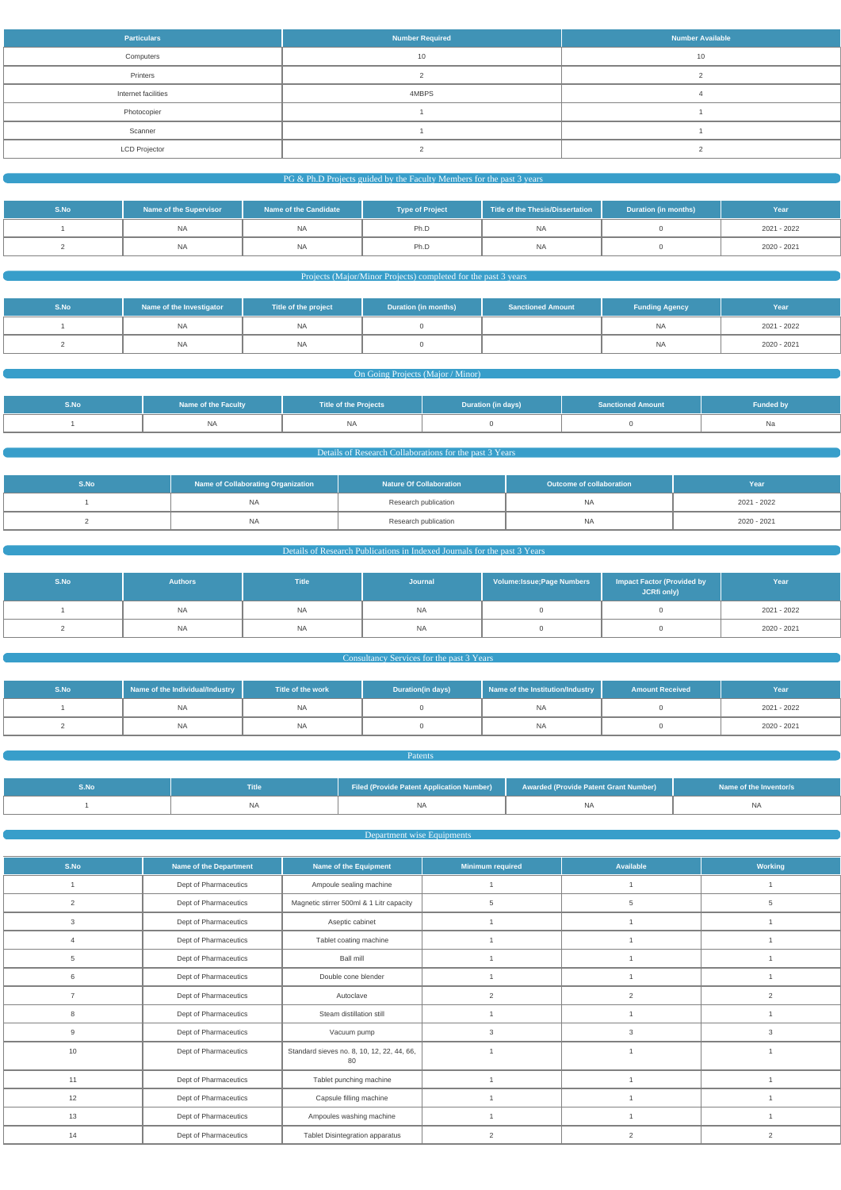| <b>Particulars</b>   | <b>Number Required</b> | <b>Number Available</b> |
|----------------------|------------------------|-------------------------|
| Computers            | 10                     | 10                      |
| Printers             |                        |                         |
| Internet facilities  | 4MBPS                  |                         |
| Photocopier          |                        |                         |
| Scanner              |                        |                         |
| <b>LCD Projector</b> |                        |                         |

#### PG & Ph.D Projects guided by the Faculty Members for the past 3 years

| S.No | Name of the Supervisor | Name of the Candidate | <b>Type of Project</b> | Title of the Thesis/Dissertation | Duration (in months) | Year        |
|------|------------------------|-----------------------|------------------------|----------------------------------|----------------------|-------------|
|      | <b>NA</b>              | <b>NA</b>             | Ph.D                   | NA.                              |                      | 2021 - 2022 |
|      | <b>NA</b>              | <b>NA</b>             | Ph.D                   | NA                               |                      | 2020 - 2021 |

# Projects (Major/Minor Projects) completed for the past 3 years

| S.No | Name of the Investigator | Title of the project | <b>Duration (in months)</b> | <b>Sanctioned Amount</b> | <b>Funding Agency</b> | Year        |
|------|--------------------------|----------------------|-----------------------------|--------------------------|-----------------------|-------------|
|      | ΝA                       | <b>NA</b>            |                             |                          | <b>NA</b>             | 2021 - 2022 |
|      | NA                       | <b>NA</b>            |                             |                          | <b>NA</b>             | 2020 - 2021 |

# On Going Projects (Major / Minor)

| S.No | <b>Name of the Faculty</b> | <b>Title of the Projects</b> | Duration (in days) | <b>Sanctioned Amount</b> | <b>Funded by</b> |
|------|----------------------------|------------------------------|--------------------|--------------------------|------------------|
|      | <b>NA</b>                  | NA                           |                    |                          | Na               |

#### Details of Research Collaborations for the past 3 Years

| S.No. | Name of Collaborating Organization | <b>Nature Of Collaboration</b> | Outcome of collaboration | Year        |
|-------|------------------------------------|--------------------------------|--------------------------|-------------|
|       | NA                                 | Research publication           | <b>NA</b>                | 2021 - 2022 |
|       | <b>NA</b>                          | Research publication           | <b>NA</b>                | 2020 - 2021 |

# Details of Research Publications in Indexed Journals for the past 3 Years

| S.No | <b>Authors</b> | <b>Title</b> | Journal   | Volume: Issue; Page Numbers | Impact Factor (Provided by<br>JCRfi only) | Year        |
|------|----------------|--------------|-----------|-----------------------------|-------------------------------------------|-------------|
|      | <b>NA</b>      | <b>NA</b>    | NA        |                             |                                           | 2021 - 2022 |
|      | <b>NA</b>      | <b>NA</b>    | <b>NA</b> |                             |                                           | 2020 - 2021 |

#### **Consultancy Services for the past 3 Years Consultancy Services for the past 3 Years**

| S.No | Name of the Individual/Industry | Title of the work | <b>Duration(in days)</b> | Name of the Institution/Industry | <b>Amount Received</b> | Year        |
|------|---------------------------------|-------------------|--------------------------|----------------------------------|------------------------|-------------|
|      | <b>INA</b>                      | <b>NA</b>         |                          | NA                               |                        | 2021 - 2022 |
|      | ΝA                              | <b>NA</b>         |                          | NA                               |                        | 2020 - 2021 |

| S.No | Title | Filed (Provide Patent Application Number) | Awarded (Provide Patent Grant Number) | Name of the Inventor/s |
|------|-------|-------------------------------------------|---------------------------------------|------------------------|
|      | IΝA   |                                           | ΝA                                    |                        |

**Patents** 

# Department wise Equipments

| S.No | Name of the Department | Name of the Equipment   | <b>Minimum required</b> | Available | Working |
|------|------------------------|-------------------------|-------------------------|-----------|---------|
|      | Dept of Pharmaceutics  | Ampoule sealing machine |                         |           |         |
|      |                        |                         |                         |           |         |

|    | Dept of Pharmaceutics | Magnetic stirrer 500ml & 1 Litr capacity         |                |   |  |
|----|-----------------------|--------------------------------------------------|----------------|---|--|
|    | Dept of Pharmaceutics | Aseptic cabinet                                  |                |   |  |
|    | Dept of Pharmaceutics | Tablet coating machine                           |                |   |  |
| 5  | Dept of Pharmaceutics | <b>Ball mill</b>                                 |                |   |  |
| 6  | Dept of Pharmaceutics | Double cone blender                              |                |   |  |
|    | Dept of Pharmaceutics | Autoclave                                        |                |   |  |
| 8  | Dept of Pharmaceutics | Steam distillation still                         |                |   |  |
|    | Dept of Pharmaceutics | Vacuum pump                                      |                |   |  |
| 10 | Dept of Pharmaceutics | Standard sieves no. 8, 10, 12, 22, 44, 66,<br>80 |                |   |  |
| 11 | Dept of Pharmaceutics | Tablet punching machine                          |                |   |  |
| 12 | Dept of Pharmaceutics | Capsule filling machine                          |                |   |  |
| 13 | Dept of Pharmaceutics | Ampoules washing machine                         |                |   |  |
| 14 | Dept of Pharmaceutics | Tablet Disintegration apparatus                  | $\overline{2}$ | 2 |  |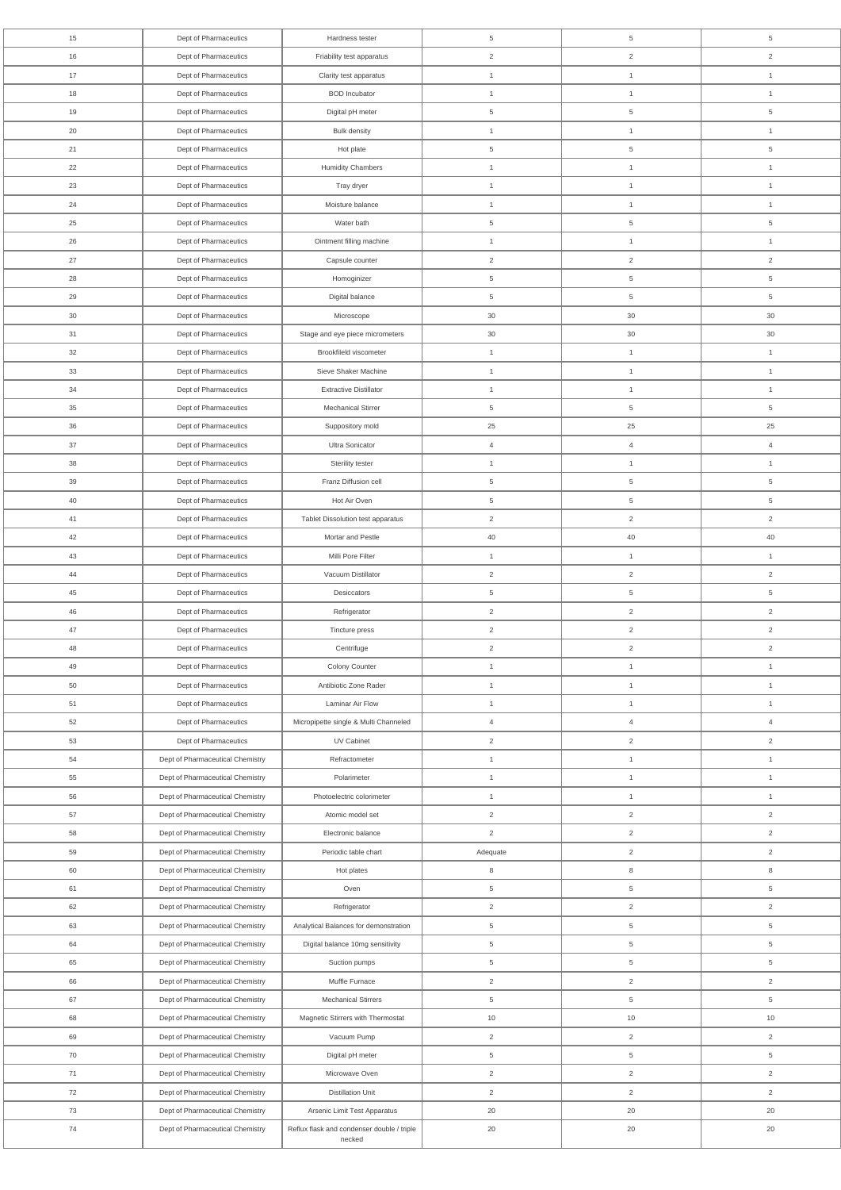| 15     | Dept of Pharmaceutics            | Hardness tester                                      | 5              | 5               | 5              |
|--------|----------------------------------|------------------------------------------------------|----------------|-----------------|----------------|
| 16     | Dept of Pharmaceutics            | Friability test apparatus                            | $\overline{2}$ | $\overline{2}$  | $\overline{2}$ |
| 17     | Dept of Pharmaceutics            | Clarity test apparatus                               | $\mathbf{1}$   | $\mathbf{1}$    | $\mathbf{1}$   |
| 18     | Dept of Pharmaceutics            | <b>BOD</b> Incubator                                 | $\mathbf{1}$   | $\mathbf{1}$    | $\mathbf{1}$   |
| 19     | Dept of Pharmaceutics            | Digital pH meter                                     | 5              | $\,$ 5 $\,$     | $\,$ 5 $\,$    |
| 20     | Dept of Pharmaceutics            | <b>Bulk density</b>                                  | $\mathbf{1}$   | $\mathbf{1}$    | $\mathbf{1}$   |
| 21     | Dept of Pharmaceutics            | Hot plate                                            | 5              | 5               | 5              |
| 22     | Dept of Pharmaceutics            | <b>Humidity Chambers</b>                             | $\mathbf{1}$   | $\mathbf{1}$    | $\mathbf{1}$   |
| 23     | Dept of Pharmaceutics            | Tray dryer                                           | $\overline{1}$ | $\mathbf{1}$    | $\mathbf{1}$   |
| 24     | Dept of Pharmaceutics            | Moisture balance                                     | $\mathbf{1}$   | $\mathbf{1}$    | $\mathbf{1}$   |
| 25     | Dept of Pharmaceutics            | Water bath                                           | 5              | $\overline{5}$  | $\overline{5}$ |
| 26     | Dept of Pharmaceutics            | Ointment filling machine                             | $\mathbf{1}$   | $\mathbf{1}$    | $\mathbf{1}$   |
| 27     | Dept of Pharmaceutics            | Capsule counter                                      | $\overline{2}$ | $\overline{2}$  | $\overline{2}$ |
| 28     | Dept of Pharmaceutics            | Homoginizer                                          | 5              | 5               | 5              |
| 29     | Dept of Pharmaceutics            | Digital balance                                      | 5              | 5               | 5              |
| $30\,$ | Dept of Pharmaceutics            | Microscope                                           | 30             | $30\,$          | 30             |
| 31     | Dept of Pharmaceutics            | Stage and eye piece micrometers                      | 30             | $30\,$          | $30\,$         |
| 32     | Dept of Pharmaceutics            | Brookfileld viscometer                               | $\mathbf{1}$   | 1               | $\mathbf{1}$   |
| 33     | Dept of Pharmaceutics            | Sieve Shaker Machine                                 | $\mathbf{1}$   | $\mathbf{1}$    | $\mathbf{1}$   |
| 34     | Dept of Pharmaceutics            | <b>Extractive Distillator</b>                        | $\mathbf{1}$   | $\mathbf{1}$    | $\mathbf{1}$   |
| 35     | Dept of Pharmaceutics            | <b>Mechanical Stirrer</b>                            | 5              | 5               | 5              |
| 36     | Dept of Pharmaceutics            | Suppository mold                                     | 25             | 25              | 25             |
| 37     |                                  | Ultra Sonicator                                      |                |                 | $\overline{4}$ |
|        | Dept of Pharmaceutics            |                                                      | $\overline{4}$ | $\overline{4}$  |                |
| 38     | Dept of Pharmaceutics            | Sterility tester                                     | $\mathbf{1}$   | $\mathbf{1}$    | $\mathbf{1}$   |
| 39     | Dept of Pharmaceutics            | Franz Diffusion cell                                 | 5              | 5               | 5              |
| 40     | Dept of Pharmaceutics            | Hot Air Oven                                         | 5              | 5               | 5              |
| 41     | Dept of Pharmaceutics            | Tablet Dissolution test apparatus                    | $\overline{2}$ | $\overline{2}$  | $\overline{2}$ |
| 42     | Dept of Pharmaceutics            | Mortar and Pestle                                    | 40             | 40              | 40             |
| 43     | Dept of Pharmaceutics            | Milli Pore Filter                                    | $\overline{1}$ | 1               | $\mathbf{1}$   |
| 44     | Dept of Pharmaceutics            | Vacuum Distillator                                   | $\overline{2}$ | $\overline{2}$  | $\overline{2}$ |
| 45     | Dept of Pharmaceutics            | Desiccators                                          | 5              | $5\phantom{.0}$ | $\,$ 5 $\,$    |
| 46     | Dept of Pharmaceutics            | Refrigerator                                         | $\overline{2}$ | $\overline{a}$  | $\overline{2}$ |
| 47     | Dept of Pharmaceutics            | Tincture press                                       | $\overline{2}$ | $\overline{2}$  | $\overline{2}$ |
| 48     | Dept of Pharmaceutics            | Centrifuge                                           | $\overline{2}$ | $\overline{2}$  | $\overline{2}$ |
| 49     | Dept of Pharmaceutics            | Colony Counter                                       | $\mathbf{1}$   | $\mathbf{1}$    | $\mathbf{1}$   |
| 50     | Dept of Pharmaceutics            | Antibiotic Zone Rader                                | $\mathbf{1}$   | $\mathbf{1}$    | $\mathbf{1}$   |
| 51     | Dept of Pharmaceutics            | Laminar Air Flow                                     | $\mathbf{1}$   | $\mathbf{1}$    | $\mathbf{1}$   |
| 52     | Dept of Pharmaceutics            | Micropipette single & Multi Channeled                | $\overline{4}$ | $\overline{4}$  | $\overline{4}$ |
| 53     | Dept of Pharmaceutics            | UV Cabinet                                           | $\overline{2}$ | $\overline{2}$  | $\overline{2}$ |
| 54     | Dept of Pharmaceutical Chemistry | Refractometer                                        | $\mathbf{1}$   | $\mathbf{1}$    | $\mathbf{1}$   |
| 55     | Dept of Pharmaceutical Chemistry | Polarimeter                                          | $\mathbf{1}$   | $\mathbf{1}$    | $\mathbf{1}$   |
| 56     | Dept of Pharmaceutical Chemistry | Photoelectric colorimeter                            | $\mathbf{1}$   | $\mathbf{1}$    | $\mathbf{1}$   |
| 57     | Dept of Pharmaceutical Chemistry | Atomic model set                                     | $\overline{2}$ | $\overline{2}$  | $\overline{2}$ |
| 58     | Dept of Pharmaceutical Chemistry | Electronic balance                                   | $\overline{2}$ | $\overline{2}$  | $\overline{2}$ |
| 59     | Dept of Pharmaceutical Chemistry | Periodic table chart                                 | Adequate       | $\overline{2}$  | $\overline{2}$ |
| 60     | Dept of Pharmaceutical Chemistry | Hot plates                                           | 8              | $\bf8$          | $\,8\,$        |
| 61     | Dept of Pharmaceutical Chemistry | Oven                                                 | 5              | $\overline{5}$  | $\overline{5}$ |
| 62     | Dept of Pharmaceutical Chemistry | Refrigerator                                         | $\overline{2}$ | $\overline{2}$  | $\overline{2}$ |
| 63     | Dept of Pharmaceutical Chemistry | Analytical Balances for demonstration                | 5              | $\,$ 5 $\,$     | 5              |
| 64     | Dept of Pharmaceutical Chemistry | Digital balance 10mg sensitivity                     | 5              | $5\phantom{.0}$ | $\overline{5}$ |
| 65     | Dept of Pharmaceutical Chemistry | Suction pumps                                        | $\,$ 5 $\,$    | $5\overline{)}$ | $\,$ 5 $\,$    |
| 66     | Dept of Pharmaceutical Chemistry | Muffle Furnace                                       | $\sqrt{2}$     | $\overline{2}$  | $\overline{2}$ |
| 67     | Dept of Pharmaceutical Chemistry | <b>Mechanical Stirrers</b>                           | $\,$ 5 $\,$    | $\,$ 5 $\,$     | $\,$ 5 $\,$    |
| 68     | Dept of Pharmaceutical Chemistry | Magnetic Stirrers with Thermostat                    | 10             | $10$            | 10             |
| 69     | Dept of Pharmaceutical Chemistry | Vacuum Pump                                          | $\overline{2}$ | $\overline{2}$  | $\overline{2}$ |
| 70     | Dept of Pharmaceutical Chemistry | Digital pH meter                                     | $\overline{5}$ | $5\phantom{.0}$ | $\,$ 5 $\,$    |
| 71     | Dept of Pharmaceutical Chemistry | Microwave Oven                                       | $\overline{2}$ | $\overline{a}$  | $\overline{2}$ |
| 72     | Dept of Pharmaceutical Chemistry | <b>Distillation Unit</b>                             | $\overline{2}$ | $\overline{2}$  | $\overline{2}$ |
| 73     | Dept of Pharmaceutical Chemistry | Arsenic Limit Test Apparatus                         | 20             | 20              | 20             |
| 74     | Dept of Pharmaceutical Chemistry | Reflux flask and condenser double / triple<br>necked | $20\,$         | $20\,$          | $20\,$         |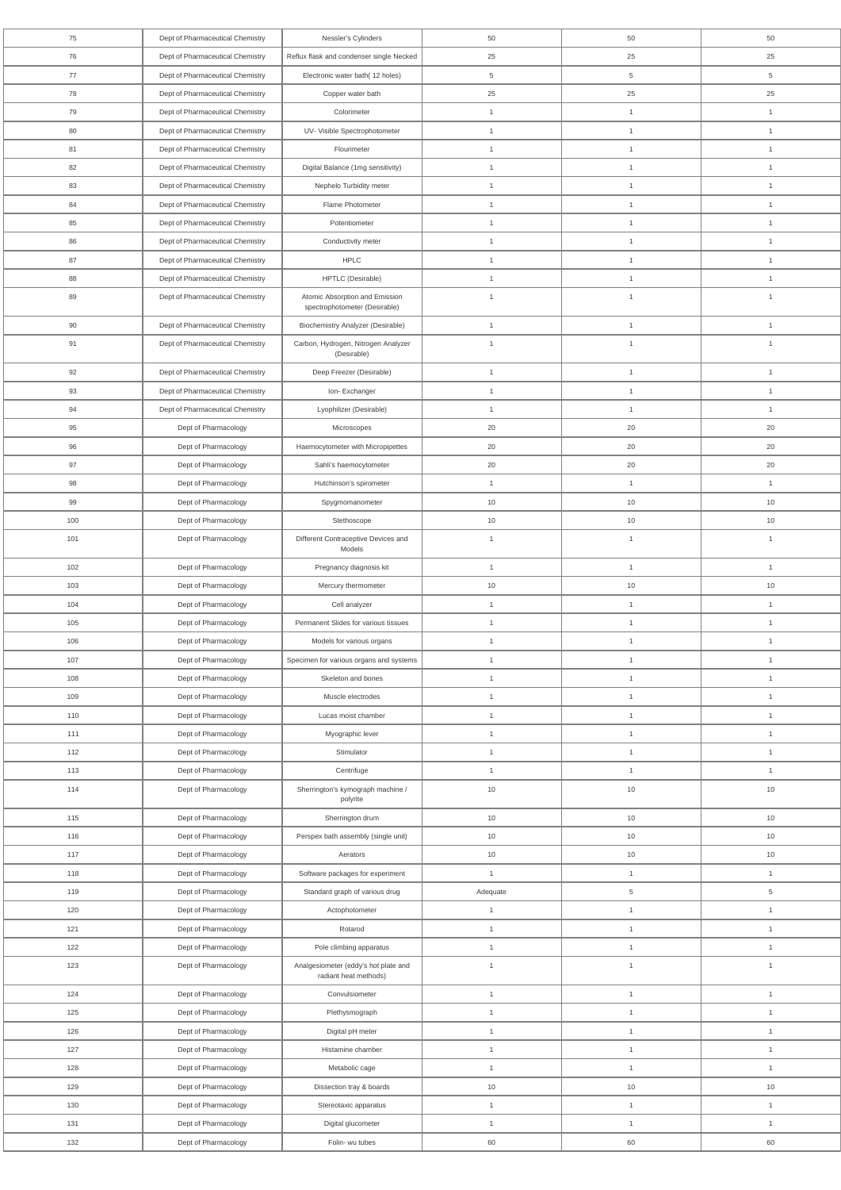| 75         | Dept of Pharmaceutical Chemistry             | Nessler's Cylinders                                                | 50                 | 50                 | 50                 |
|------------|----------------------------------------------|--------------------------------------------------------------------|--------------------|--------------------|--------------------|
| 76         | Dept of Pharmaceutical Chemistry             | Reflux flask and condenser single Necked                           | 25                 | 25                 | 25                 |
| 77         | Dept of Pharmaceutical Chemistry             | Electronic water bath(12 holes)                                    | 5                  | 5                  | 5                  |
| 78         | Dept of Pharmaceutical Chemistry             | Copper water bath                                                  | 25                 | 25                 | 25                 |
| 79         | Dept of Pharmaceutical Chemistry             | Colorimeter                                                        | $\mathbf{1}$       | $\mathbf{1}$       | $\mathbf{1}$       |
| 80         | Dept of Pharmaceutical Chemistry             | UV- Visible Spectrophotometer                                      | $\mathbf{1}$       | $\mathbf{1}$       | $\mathbf{1}$       |
| 81         | Dept of Pharmaceutical Chemistry             | Flourimeter                                                        | $\mathbf{1}$       | $\mathbf{1}$       | $\mathbf{1}$       |
| 82         | Dept of Pharmaceutical Chemistry             | Digital Balance (1mg sensitivity)                                  | $\mathbf{1}$       | $\mathbf{1}$       | $\mathbf{1}$       |
| 83         | Dept of Pharmaceutical Chemistry             | Nephelo Turbidity meter                                            | $\mathbf{1}$       | $\mathbf{1}$       | $\mathbf{1}$       |
| 84         | Dept of Pharmaceutical Chemistry             | Flame Photometer                                                   | $\mathbf{1}$       | $\mathbf{1}$       | $\mathbf{1}$       |
| 85         | Dept of Pharmaceutical Chemistry             | Potentiometer                                                      | $\mathbf{1}$       | $\mathbf{1}$       | $\mathbf{1}$       |
| 86         | Dept of Pharmaceutical Chemistry             | Conductivity meter                                                 | $\mathbf{1}$       | $\mathbf{1}$       | $\mathbf{1}$       |
| 87         | Dept of Pharmaceutical Chemistry             | <b>HPLC</b>                                                        | $\mathbf{1}$       | $\mathbf{1}$       | $\mathbf{1}$       |
| 88         | Dept of Pharmaceutical Chemistry             | HPTLC (Desirable)                                                  | $\mathbf{1}$       | $\mathbf{1}$       | $\mathbf{1}$       |
| 89         | Dept of Pharmaceutical Chemistry             | Atomic Absorption and Emission<br>spectrophotometer (Desirable)    | $\mathbf{1}$       | $\mathbf{1}$       | $\mathbf{1}$       |
| 90         | Dept of Pharmaceutical Chemistry             | Biochemistry Analyzer (Desirable)                                  | $\mathbf{1}$       | $\mathbf{1}$       | $\mathbf{1}$       |
| 91         | Dept of Pharmaceutical Chemistry             | Carbon, Hydrogen, Nitrogen Analyzer<br>(Desirable)                 | $\mathbf{1}$       | $\mathbf{1}$       | $\mathbf{1}$       |
| 92         | Dept of Pharmaceutical Chemistry             | Deep Freezer (Desirable)                                           | $\mathbf{1}$       | $\mathbf{1}$       | $\mathbf{1}$       |
| 93         | Dept of Pharmaceutical Chemistry             | Ion-Exchanger                                                      | $\mathbf{1}$       | $\mathbf{1}$       | $\mathbf{1}$       |
| 94         | Dept of Pharmaceutical Chemistry             | Lyophilizer (Desirable)                                            | $\mathbf{1}$       | $\mathbf{1}$       | $\mathbf{1}$       |
| 95         | Dept of Pharmacology                         | Microscopes                                                        | 20                 | 20                 | 20                 |
| 96         | Dept of Pharmacology                         | Haemocytometer with Micropipettes                                  | 20                 | 20                 | 20                 |
| 97         | Dept of Pharmacology                         | Sahli's haemocytometer                                             | 20                 | 20                 | 20                 |
| 98         | Dept of Pharmacology                         | Hutchinson's spirometer                                            | $\mathbf{1}$       | $\mathbf{1}$       | $\mathbf{1}$       |
| 99         | Dept of Pharmacology                         | Spygmomanometer                                                    | 10                 | 10                 | 10                 |
| 100        | Dept of Pharmacology                         | Stethoscope                                                        | 10                 | 10                 | $10$               |
| 101        | Dept of Pharmacology                         | Different Contraceptive Devices and<br>Models                      | $\mathbf{1}$       | $\mathbf{1}$       | $\mathbf{1}$       |
| 102        | Dept of Pharmacology                         | Pregnancy diagnosis kit                                            | $\mathbf{1}$       | $\mathbf{1}$       | $\mathbf{1}$       |
| 103        | Dept of Pharmacology                         | Mercury thermometer                                                | 10                 | 10                 | 10                 |
| 104        | Dept of Pharmacology                         | Cell analyzer                                                      | $\mathbf{1}$       | $\mathbf{1}$       | $\mathbf{1}$       |
| 105        | Dept of Pharmacology                         | Permanent Slides for various tissues                               | $\mathbf{1}$       | $\mathbf{1}$       | $\overline{1}$     |
| 106        | Dept of Pharmacology                         | Models for various organs                                          | $\mathbf{1}$       | $\mathbf{1}$       | $\mathbf{1}$       |
| 107        | Dept of Pharmacology                         | Specimen for various organs and systems                            | $\mathbf{1}$       | $\mathbf{1}$       | $\mathbf{1}$       |
| 108        | Dept of Pharmacology                         | Skeleton and bones                                                 | $\mathbf{1}$       | $\mathbf{1}$       | $\mathbf{1}$       |
| 109        | Dept of Pharmacology                         | Muscle electrodes                                                  | $\mathbf{1}$       | $\mathbf{1}$       | $\mathbf{1}$       |
| 110        | Dept of Pharmacology                         | Lucas moist chamber                                                | $\mathbf{1}$       | $\mathbf{1}$       | $\mathbf{1}$       |
| 111        | Dept of Pharmacology                         | Myographic lever                                                   | $\mathbf{1}$       | $\mathbf{1}$       | $\mathbf{1}$       |
| 112        | Dept of Pharmacology                         | Stimulator                                                         | $\mathbf{1}$       | $\mathbf{1}$       | $\mathbf{1}$       |
| 113        | Dept of Pharmacology                         | Centrifuge                                                         | $\mathbf{1}$       | $\mathbf{1}$       | $\mathbf{1}$       |
| 114        | Dept of Pharmacology                         | Sherrington's kymograph machine /<br>polyrite                      | 10                 | 10                 | 10                 |
| 115        | Dept of Pharmacology                         | Sherrington drum                                                   | 10                 | 10                 | 10                 |
| 116        | Dept of Pharmacology                         | Perspex bath assembly (single unit)                                | 10                 | 10                 | 10                 |
| 117<br>118 | Dept of Pharmacology                         | Aerators                                                           | 10<br>$\mathbf{1}$ | 10<br>$\mathbf{1}$ | 10<br>$\mathbf{1}$ |
| 119        | Dept of Pharmacology<br>Dept of Pharmacology | Software packages for experiment<br>Standard graph of various drug | Adequate           | $5\phantom{.0}$    | $\overline{5}$     |
| 120        | Dept of Pharmacology                         | Actophotometer                                                     | $\mathbf{1}$       | $\mathbf{1}$       | $\mathbf{1}$       |
| 121        | Dept of Pharmacology                         | Rotarod                                                            | $\mathbf{1}$       | $\mathbf{1}$       | $\mathbf{1}$       |
| 122        | Dept of Pharmacology                         | Pole climbing apparatus                                            | $\mathbf{1}$       | $\mathbf{1}$       | $\mathbf{1}$       |
| 123        | Dept of Pharmacology                         | Analgesiometer (eddy's hot plate and<br>radiant heat methods)      | $\mathbf{1}$       | $\mathbf{1}$       | $\mathbf{1}$       |
| 124        | Dept of Pharmacology                         | Convulsiometer                                                     | $\mathbf{1}$       | $\mathbf{1}$       | $\mathbf{1}$       |
| 125        | Dept of Pharmacology                         | Plethysmograph                                                     | $\mathbf{1}$       | $\mathbf{1}$       | $\mathbf{1}$       |
| 126        | Dept of Pharmacology                         | Digital pH meter                                                   | $\mathbf{1}$       | $\mathbf{1}$       | $\mathbf{1}$       |
| 127        | Dept of Pharmacology                         | Histamine chamber                                                  | $\mathbf{1}$       | 1                  | $\mathbf{1}$       |
| 128        | Dept of Pharmacology                         | Metabolic cage                                                     | $\mathbf{1}$       | $\mathbf{1}$       | $\mathbf{1}$       |
| 129        | Dept of Pharmacology                         | Dissection tray & boards                                           | 10                 | 10                 | 10                 |
| 130        | Dept of Pharmacology                         | Stereotaxic apparatus                                              | $\mathbf{1}$       | 1                  | $\mathbf{1}$       |
| 131        | Dept of Pharmacology                         | Digital glucometer                                                 | $\mathbf{1}$       | $\mathbf{1}$       | $\mathbf{1}$       |
| 132        | Dept of Pharmacology                         | Folin- wu tubes                                                    | 60                 | 60                 | 60                 |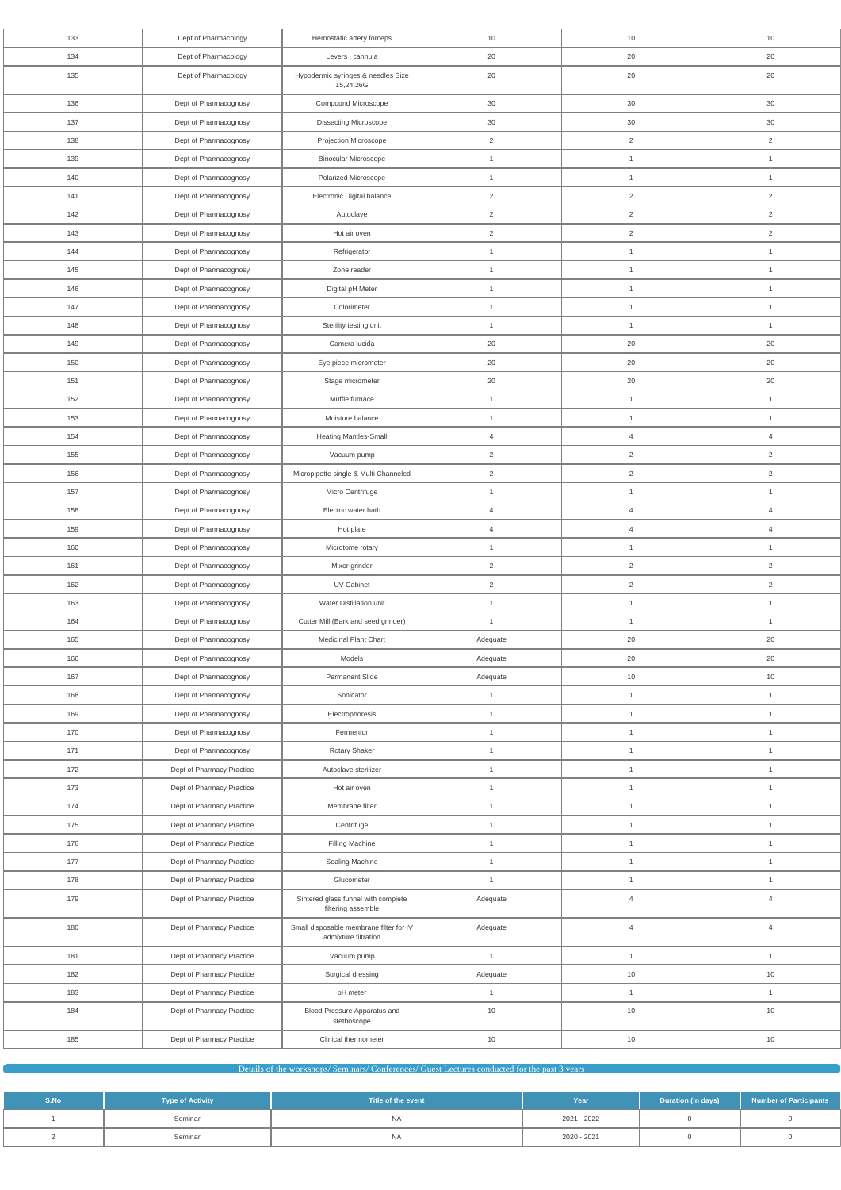| 133 | Dept of Pharmacology      | Hemostatic artery forceps                                       | 10             | 10             | 10             |
|-----|---------------------------|-----------------------------------------------------------------|----------------|----------------|----------------|
| 134 | Dept of Pharmacology      | Levers, cannula                                                 | 20             | 20             | 20             |
| 135 | Dept of Pharmacology      | Hypodermic syringes & needles Size<br>15,24,26G                 | 20             | 20             | 20             |
| 136 | Dept of Pharmacognosy     | Compound Microscope                                             | 30             | 30             | 30             |
| 137 | Dept of Pharmacognosy     | <b>Dissecting Microscope</b>                                    | 30             | 30             | 30             |
| 138 | Dept of Pharmacognosy     | Projection Microscope                                           | $\overline{2}$ | $\overline{2}$ | $\overline{2}$ |
| 139 | Dept of Pharmacognosy     | <b>Binocular Microscope</b>                                     | $\mathbf{1}$   | $\mathbf{1}$   | $\mathbf{1}$   |
| 140 | Dept of Pharmacognosy     | Polarized Microscope                                            | $\mathbf{1}$   | $\mathbf{1}$   | $\mathbf{1}$   |
| 141 | Dept of Pharmacognosy     | Electronic Digital balance                                      | $\overline{2}$ | $\overline{2}$ | $\overline{2}$ |
| 142 | Dept of Pharmacognosy     | Autoclave                                                       | $\overline{2}$ | $\overline{2}$ | $\overline{2}$ |
| 143 | Dept of Pharmacognosy     | Hot air oven                                                    | $\overline{2}$ | $\overline{2}$ | $\overline{2}$ |
| 144 | Dept of Pharmacognosy     | Refrigerator                                                    | $\mathbf{1}$   | $\mathbf{1}$   | $\mathbf{1}$   |
| 145 | Dept of Pharmacognosy     | Zone reader                                                     | $\mathbf{1}$   | $\mathbf{1}$   | $\mathbf{1}$   |
| 146 | Dept of Pharmacognosy     | Digital pH Meter                                                | $\mathbf{1}$   | $\mathbf{1}$   | $\mathbf{1}$   |
| 147 | Dept of Pharmacognosy     | Colorimeter                                                     | $\mathbf{1}$   | $\mathbf{1}$   | $\mathbf{1}$   |
| 148 | Dept of Pharmacognosy     | Sterility testing unit                                          | $\mathbf{1}$   | $\mathbf{1}$   | $\mathbf{1}$   |
| 149 | Dept of Pharmacognosy     | Camera lucida                                                   | 20             | 20             | 20             |
| 150 | Dept of Pharmacognosy     | Eye piece micrometer                                            | 20             | 20             | 20             |
| 151 | Dept of Pharmacognosy     | Stage micrometer                                                | 20             | 20             | 20             |
| 152 | Dept of Pharmacognosy     | Muffle furnace                                                  | $\mathbf{1}$   | 1              | $\overline{1}$ |
| 153 | Dept of Pharmacognosy     | Moisture balance                                                | $\mathbf{1}$   | $\mathbf{1}$   | $\mathbf{1}$   |
| 154 | Dept of Pharmacognosy     | <b>Heating Mantles-Small</b>                                    | $\overline{4}$ | $\overline{4}$ | $\overline{4}$ |
| 155 | Dept of Pharmacognosy     | Vacuum pump                                                     | $\overline{2}$ | $\overline{2}$ | $\overline{2}$ |
| 156 | Dept of Pharmacognosy     | Micropipette single & Multi Channeled                           | $\overline{2}$ | $\overline{2}$ | $\overline{2}$ |
| 157 | Dept of Pharmacognosy     | Micro Centrifuge                                                | $\mathbf{1}$   | $\mathbf{1}$   | $\mathbf{1}$   |
| 158 | Dept of Pharmacognosy     | Electric water bath                                             | $\overline{4}$ | $\overline{4}$ | $\overline{4}$ |
| 159 | Dept of Pharmacognosy     | Hot plate                                                       | $\overline{4}$ | $\overline{4}$ | $\overline{4}$ |
| 160 | Dept of Pharmacognosy     | Microtome rotary                                                | $\mathbf{1}$   | $\mathbf{1}$   | $\mathbf{1}$   |
| 161 | Dept of Pharmacognosy     | Mixer grinder                                                   | $\overline{2}$ | $\overline{2}$ | $\overline{2}$ |
| 162 | Dept of Pharmacognosy     | UV Cabinet                                                      | $\overline{2}$ | $\overline{a}$ | $\overline{2}$ |
| 163 | Dept of Pharmacognosy     | Water Distillation unit                                         | $\mathbf{1}$   | $\mathbf{1}$   | $\mathbf{1}$   |
| 164 | Dept of Pharmacognosy     | Cutter Mill (Bark and seed grinder)                             | $\mathbf{1}$   | $\mathbf{1}$   | $\overline{1}$ |
| 165 | Dept of Pharmacognosy     | <b>Medicinal Plant Chart</b>                                    | Adequate       | $20\,$         | $20\,$         |
| 166 | Dept of Pharmacognosy     | Models                                                          | Adequate       | 20             | 20             |
| 167 | Dept of Pharmacognosy     | Permanent Slide                                                 | Adequate       | 10             | $10$           |
| 168 | Dept of Pharmacognosy     | Sonicator                                                       | $\mathbf{1}$   | $\mathbf{1}$   | $\mathbf{1}$   |
| 169 |                           |                                                                 | $\mathbf{1}$   | $\mathbf{1}$   | $\mathbf{1}$   |
| 170 | Dept of Pharmacognosy     | Electrophoresis<br>Fermentor                                    |                |                |                |
|     | Dept of Pharmacognosy     |                                                                 | $\mathbf{1}$   | $\mathbf{1}$   | $\mathbf{1}$   |
| 171 | Dept of Pharmacognosy     | Rotary Shaker                                                   | $\mathbf{1}$   | $\mathbf{1}$   | $\mathbf{1}$   |
| 172 | Dept of Pharmacy Practice | Autoclave sterilizer                                            | $\mathbf{1}$   | $\mathbf{1}$   | $\mathbf{1}$   |
| 173 | Dept of Pharmacy Practice | Hot air oven                                                    | $\mathbf{1}$   | $\mathbf{1}$   | $\mathbf{1}$   |
| 174 | Dept of Pharmacy Practice | Membrane filter                                                 | $\mathbf{1}$   | $\mathbf{1}$   | $\mathbf{1}$   |
| 175 | Dept of Pharmacy Practice | Centrifuge                                                      | $\mathbf{1}$   | $\mathbf{1}$   | $\mathbf{1}$   |
| 176 | Dept of Pharmacy Practice | Filling Machine                                                 | $\mathbf{1}$   | $\mathbf{1}$   | $\mathbf{1}$   |
| 177 | Dept of Pharmacy Practice | Sealing Machine                                                 | $\mathbf{1}$   | $\mathbf{1}$   | $\mathbf{1}$   |
| 178 | Dept of Pharmacy Practice | Glucometer                                                      | $\mathbf{1}$   | $\mathbf{1}$   | $\mathbf{1}$   |
| 179 | Dept of Pharmacy Practice | Sintered glass funnel with complete<br>filtering assemble       | Adequate       | $\overline{4}$ | $\overline{4}$ |
| 180 | Dept of Pharmacy Practice | Small disposable membrane filter for IV<br>admixture filtration | Adequate       | $\overline{4}$ | $\overline{4}$ |
| 181 | Dept of Pharmacy Practice | Vacuum pump                                                     | $\mathbf{1}$   | $\mathbf{1}$   | $\mathbf{1}$   |
| 182 | Dept of Pharmacy Practice | Surgical dressing                                               | Adequate       | 10             | $10$           |
| 183 | Dept of Pharmacy Practice | pH meter                                                        | $\mathbf{1}$   | $\mathbf{1}$   | $\mathbf{1}$   |
| 184 | Dept of Pharmacy Practice | Blood Pressure Apparatus and<br>stethoscope                     | $10$           | 10             | $10$           |
| 185 | Dept of Pharmacy Practice | Clinical thermometer                                            | 10             | $10$           | $10$           |

# Details of the workshops/ Seminars/ Conferences/ Guest Lectures conducted for the past 3 years

**Contract** 

| S.No | <b>Type of Activity</b> | Title of the event | Year        | <b>Duration (in days)</b> | <b>Number of Participants</b> |
|------|-------------------------|--------------------|-------------|---------------------------|-------------------------------|
|      | Seminar                 | NA.                | 2021 - 2022 |                           |                               |
|      | Seminar                 | <b>NA</b>          | 2020 - 2021 |                           |                               |

**Contract Contract Contract**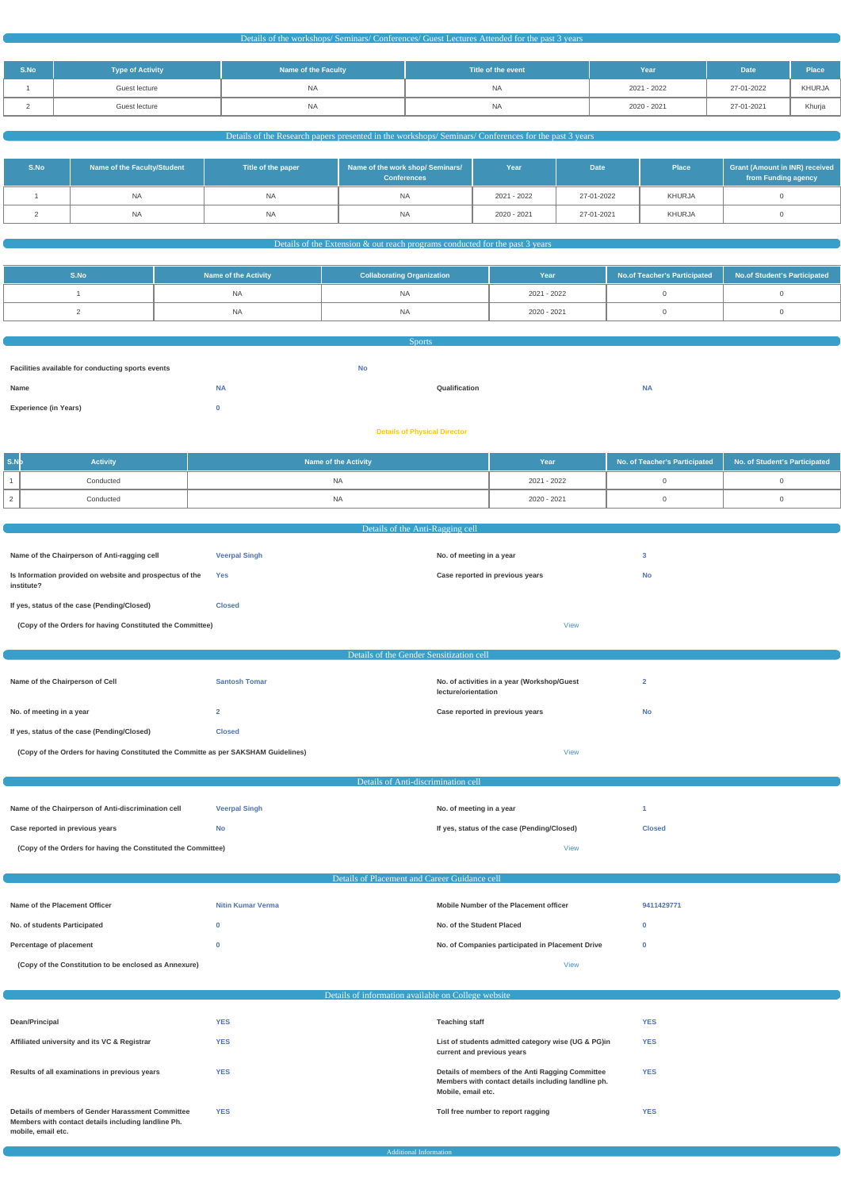| S.No | <b>Type of Activity</b> | <b>Name of the Faculty</b> | Title of the event | Year        | <b>Date</b> | Place  |
|------|-------------------------|----------------------------|--------------------|-------------|-------------|--------|
|      | Guest lecture           | <b>NA</b>                  | <b>NA</b>          | 2021 - 2022 | 27-01-2022  | KHURJA |
|      | Guest lecture           | <b>NA</b>                  | <b>NA</b>          | 2020 - 2021 | 27-01-2021  | Khurja |

# Details of the Research papers presented in the workshops/ Seminars/ Conferences for the past 3 years

| S.No | Name of the Faculty/Student | Title of the paper | Name of the work shop/ Seminars/<br><b>Conferences</b> | Year        | <b>Date</b> | Place  | <b>Grant (Amount in INR) received</b><br>from Funding agency |
|------|-----------------------------|--------------------|--------------------------------------------------------|-------------|-------------|--------|--------------------------------------------------------------|
|      | NA.                         | NA.                | <b>NA</b>                                              | 2021 - 2022 | 27-01-2022  | KHURJA |                                                              |
|      | <b>NA</b>                   | <b>NA</b>          | <b>NA</b>                                              | 2020 - 2021 | 27-01-2021  | KHURJA |                                                              |

# Details of the Extension & out reach programs conducted for the past 3 years

| S.No | <b>Name of the Activity</b> | <b>Collaborating Organization</b> | Year        | No.of Teacher's Participated No.of Student's Participated |  |
|------|-----------------------------|-----------------------------------|-------------|-----------------------------------------------------------|--|
|      | <b>NA</b>                   | <b>NA</b>                         | 2021 - 2022 |                                                           |  |
|      | <b>NA</b>                   | <b>NA</b>                         | 2020 - 2021 |                                                           |  |

| <b>Sports</b>                                     |           |    |               |           |  |  |
|---------------------------------------------------|-----------|----|---------------|-----------|--|--|
|                                                   |           |    |               |           |  |  |
| Facilities available for conducting sports events |           | No |               |           |  |  |
| Name                                              | <b>NA</b> |    | Qualification | <b>NA</b> |  |  |
| <b>Experience (in Years)</b>                      |           |    |               |           |  |  |
|                                                   |           |    |               |           |  |  |

#### **Details of Physical Director**

| S.Nb | <b>Activity</b> | <b>Name of the Activity</b> | Year        | No. of Teacher's Participated   No. of Student's Participated |
|------|-----------------|-----------------------------|-------------|---------------------------------------------------------------|
|      | Conducted       | NΑ                          | 2021 - 2022 |                                                               |
|      | Conducted       | NA.                         | 2020 - 2021 |                                                               |

| Details of the Anti-Ragging cell                                                   |                                          |                                                                    |                |  |
|------------------------------------------------------------------------------------|------------------------------------------|--------------------------------------------------------------------|----------------|--|
|                                                                                    |                                          |                                                                    |                |  |
| Name of the Chairperson of Anti-ragging cell                                       | <b>Veerpal Singh</b>                     | No. of meeting in a year                                           | 3              |  |
| Is Information provided on website and prospectus of the<br>institute?             | Yes                                      | Case reported in previous years                                    | <b>No</b>      |  |
| If yes, status of the case (Pending/Closed)                                        | <b>Closed</b>                            |                                                                    |                |  |
| (Copy of the Orders for having Constituted the Committee)                          |                                          | <b>View</b>                                                        |                |  |
|                                                                                    |                                          |                                                                    |                |  |
|                                                                                    | Details of the Gender Sensitization cell |                                                                    |                |  |
|                                                                                    |                                          |                                                                    |                |  |
| Name of the Chairperson of Cell                                                    | <b>Santosh Tomar</b>                     | No. of activities in a year (Workshop/Guest<br>lecture/orientation | $\overline{2}$ |  |
| No. of meeting in a year                                                           | $\overline{2}$                           | Case reported in previous years                                    | <b>No</b>      |  |
| If yes, status of the case (Pending/Closed)                                        | <b>Closed</b>                            |                                                                    |                |  |
| (Copy of the Orders for having Constituted the Committe as per SAKSHAM Guidelines) |                                          | <b>View</b>                                                        |                |  |
|                                                                                    |                                          |                                                                    |                |  |
|                                                                                    | Details of Anti-discrimination cell      |                                                                    |                |  |
|                                                                                    |                                          |                                                                    |                |  |
| Name of the Chairperson of Anti-discrimination cell                                | <b>Veerpal Singh</b>                     | No. of meeting in a year                                           |                |  |
| Case reported in previous years                                                    | <b>No</b>                                | If yes, status of the case (Pending/Closed)                        | <b>Closed</b>  |  |
| (Copy of the Orders for having the Constituted the Committee)                      |                                          | <b>View</b>                                                        |                |  |
|                                                                                    |                                          |                                                                    |                |  |
|                                                                                    |                                          |                                                                    |                |  |

| Name of the Placement Officer                         | <b>Nitin Kumar Verma</b> | Mobile Number of the Placement officer           | 9411429771 |
|-------------------------------------------------------|--------------------------|--------------------------------------------------|------------|
| No. of students Participated                          |                          | No. of the Student Placed                        |            |
| Percentage of placement                               |                          | No. of Companies participated in Placement Drive |            |
| (Copy of the Constitution to be enclosed as Annexure) |                          | <b>View</b>                                      |            |

| Details of information available on College website                                                                            |            |                                                                                                                               |            |  |
|--------------------------------------------------------------------------------------------------------------------------------|------------|-------------------------------------------------------------------------------------------------------------------------------|------------|--|
|                                                                                                                                |            |                                                                                                                               |            |  |
| Dean/Principal                                                                                                                 | <b>YES</b> | <b>Teaching staff</b>                                                                                                         | <b>YES</b> |  |
| Affiliated university and its VC & Registrar                                                                                   | <b>YES</b> | List of students admitted category wise (UG & PG)in<br>current and previous years                                             | <b>YES</b> |  |
| Results of all examinations in previous years                                                                                  | <b>YES</b> | Details of members of the Anti Ragging Committee<br>Members with contact details including landline ph.<br>Mobile, email etc. | <b>YES</b> |  |
| Details of members of Gender Harassment Committee<br>Members with contact details including landline Ph.<br>mobile, email etc. | <b>YES</b> | Toll free number to report ragging                                                                                            | <b>YES</b> |  |

Additional Information